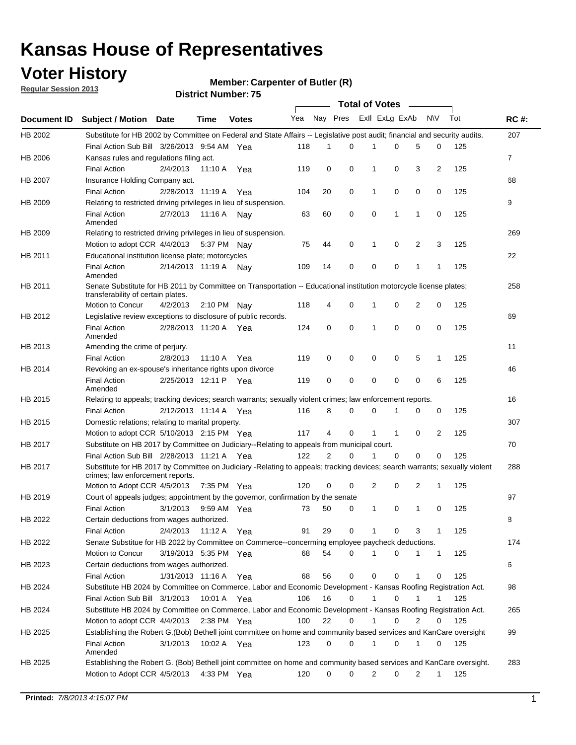## **Voter History**

**Member: Carpenter of Butler (R)** 

**Regular Session 2013**

|             |                                                                                                                                                                |                       |             |              |     |                |          | <b>Total of Votes</b> |          |             |                |     |             |
|-------------|----------------------------------------------------------------------------------------------------------------------------------------------------------------|-----------------------|-------------|--------------|-----|----------------|----------|-----------------------|----------|-------------|----------------|-----|-------------|
| Document ID | Subject / Motion Date                                                                                                                                          |                       | Time        | <b>Votes</b> | Yea | Nay Pres       |          | Exll ExLg ExAb        |          |             | <b>NV</b>      | Tot | <b>RC#:</b> |
| HB 2002     | Substitute for HB 2002 by Committee on Federal and State Affairs -- Legislative post audit; financial and security audits.                                     |                       |             |              |     |                |          |                       |          |             |                |     | 207         |
|             | Final Action Sub Bill 3/26/2013 9:54 AM Yea                                                                                                                    |                       |             |              | 118 | 1              | 0        | 1                     | 0        | 5           | 0              | 125 |             |
| HB 2006     | Kansas rules and regulations filing act.                                                                                                                       |                       |             |              |     |                |          |                       |          |             |                |     | 7           |
|             | <b>Final Action</b>                                                                                                                                            | 2/4/2013              | 11:10 A     | Yea          | 119 | 0              | 0        | 1                     | 0        | 3           | 2              | 125 |             |
| HB 2007     | Insurance Holding Company act.                                                                                                                                 |                       |             |              |     |                |          |                       |          |             |                |     | 68          |
|             | <b>Final Action</b>                                                                                                                                            | 2/28/2013 11:19 A     |             | Yea          | 104 | 20             | 0        | 1                     | 0        | 0           | 0              | 125 |             |
| HB 2009     | Relating to restricted driving privileges in lieu of suspension.                                                                                               |                       |             |              |     |                |          |                       |          |             |                |     | 9           |
|             | <b>Final Action</b><br>Amended                                                                                                                                 | 2/7/2013              | 11:16 A     | Nav          | 63  | 60             | 0        | 0                     | 1        | 1           | 0              | 125 |             |
| HB 2009     | Relating to restricted driving privileges in lieu of suspension.                                                                                               |                       |             |              |     |                |          |                       |          |             |                |     | 269         |
|             | Motion to adopt CCR 4/4/2013                                                                                                                                   |                       | 5:37 PM Nav |              | 75  | 44             | 0        | 1                     | 0        | 2           | 3              | 125 |             |
| HB 2011     | Educational institution license plate; motorcycles                                                                                                             |                       |             |              |     |                |          |                       |          |             |                |     | 22          |
|             | <b>Final Action</b><br>Amended                                                                                                                                 | 2/14/2013 11:19 A     |             | Nav          | 109 | 14             | 0        | 0                     | 0        | 1           | $\mathbf{1}$   | 125 |             |
| HB 2011     | Senate Substitute for HB 2011 by Committee on Transportation -- Educational institution motorcycle license plates;<br>transferability of certain plates.       |                       |             |              |     |                |          |                       |          |             |                |     | 258         |
|             | Motion to Concur                                                                                                                                               | 4/2/2013              | 2:10 PM     | Nav          | 118 | 4              | 0        | 1                     | 0        | 2           | 0              | 125 |             |
| HB 2012     | Legislative review exceptions to disclosure of public records.                                                                                                 |                       |             |              |     |                |          |                       |          |             |                |     | 69          |
|             | <b>Final Action</b><br>Amended                                                                                                                                 | 2/28/2013 11:20 A     |             | Yea          | 124 | 0              | 0        | 1                     | 0        | 0           | 0              | 125 |             |
| HB 2013     | Amending the crime of perjury.                                                                                                                                 |                       |             |              |     |                |          |                       |          |             |                |     | 11          |
|             | <b>Final Action</b>                                                                                                                                            | 2/8/2013              | 11:10 A     | Yea          | 119 | 0              | 0        | 0                     | 0        | 5           | 1              | 125 |             |
| HB 2014     | Revoking an ex-spouse's inheritance rights upon divorce                                                                                                        |                       |             |              |     |                |          |                       |          |             |                |     | 46          |
|             | <b>Final Action</b><br>Amended                                                                                                                                 | 2/25/2013 12:11 P     |             | Yea          | 119 | 0              | 0        | 0                     | 0        | $\mathbf 0$ | 6              | 125 |             |
| HB 2015     | Relating to appeals; tracking devices; search warrants; sexually violent crimes; law enforcement reports.                                                      |                       |             |              |     |                |          |                       |          |             |                |     | 16          |
|             | <b>Final Action</b>                                                                                                                                            | 2/12/2013 11:14 A Yea |             |              | 116 | 8              | 0        | $\Omega$              |          | 0           | 0              | 125 |             |
| HB 2015     | Domestic relations; relating to marital property.                                                                                                              |                       |             |              |     |                |          |                       |          |             |                |     | 307         |
|             | Motion to adopt CCR 5/10/2013 2:15 PM Yea                                                                                                                      |                       |             |              | 117 | 4              | $\Omega$ | 1                     | 1        | 0           | $\overline{2}$ | 125 |             |
| HB 2017     | Substitute on HB 2017 by Committee on Judiciary--Relating to appeals from municipal court.                                                                     |                       |             |              |     |                |          |                       |          |             |                |     | 70          |
|             | Final Action Sub Bill 2/28/2013 11:21 A Yea                                                                                                                    |                       |             |              | 122 | $\overline{2}$ | $\Omega$ | 1                     | $\Omega$ | 0           | 0              | 125 |             |
| HB 2017     | Substitute for HB 2017 by Committee on Judiciary -Relating to appeals; tracking devices; search warrants; sexually violent<br>crimes; law enforcement reports. |                       |             |              |     |                |          |                       |          |             |                |     | 288         |
|             | Motion to Adopt CCR 4/5/2013                                                                                                                                   |                       |             | 7:35 PM Yea  | 120 | 0              | 0        | 2                     | 0        | 2           | 1              | 125 |             |
| HB 2019     | Court of appeals judges; appointment by the governor, confirmation by the senate                                                                               |                       |             |              |     |                |          |                       |          |             |                |     | 97          |
|             | <b>Final Action</b>                                                                                                                                            | 3/1/2013              |             | 9:59 AM Yea  | 73  | 50             | 0        | 1                     | 0        | 1           | 0              | 125 |             |
| HB 2022     | Certain deductions from wages authorized.                                                                                                                      |                       |             |              |     |                |          |                       |          |             |                |     | В           |
|             | <b>Final Action</b>                                                                                                                                            | 2/4/2013              | 11:12 A Yea |              | 91  | 29             | 0        | 1                     | 0        | 3           | 1              | 125 |             |
| HB 2022     | Senate Substitue for HB 2022 by Committee on Commerce--concerming employee paycheck deductions.                                                                |                       |             |              |     |                |          |                       |          |             |                |     | 174         |
|             | Motion to Concur                                                                                                                                               | 3/19/2013 5:35 PM Yea |             |              | 68  | 54             | 0        | 1                     | 0        | 1           | 1              | 125 |             |
| HB 2023     | Certain deductions from wages authorized.                                                                                                                      |                       |             |              |     |                |          |                       |          |             |                |     | 6           |
|             | <b>Final Action</b>                                                                                                                                            | 1/31/2013 11:16 A Yea |             |              | 68  | 56             | 0        | 0                     | 0        | 1           | 0              | 125 |             |
| HB 2024     | Substitute HB 2024 by Committee on Commerce, Labor and Economic Development - Kansas Roofing Registration Act.                                                 |                       |             |              |     |                |          |                       |          |             |                |     | 98          |
|             | Final Action Sub Bill 3/1/2013                                                                                                                                 |                       | 10:01 A Yea |              | 106 | 16             | 0        | 1                     | 0        |             |                | 125 |             |
| HB 2024     | Substitute HB 2024 by Committee on Commerce, Labor and Economic Development - Kansas Roofing Registration Act.                                                 |                       |             |              |     |                |          |                       |          |             |                |     | 265         |
|             | Motion to adopt CCR 4/4/2013                                                                                                                                   |                       |             | 2:38 PM Yea  | 100 | 22             | 0        |                       | 0        | 2           | 0              | 125 |             |
| HB 2025     | Establishing the Robert G.(Bob) Bethell joint committee on home and community based services and KanCare oversight                                             |                       |             |              |     |                |          |                       |          |             |                |     | 99          |
|             | <b>Final Action</b><br>Amended                                                                                                                                 | 3/1/2013              |             | 10:02 A Yea  | 123 | 0              | 0        | 1                     | 0        | 1           | 0              | 125 |             |
| HB 2025     | Establishing the Robert G. (Bob) Bethell joint committee on home and community based services and KanCare oversight.                                           |                       |             |              |     |                |          |                       |          |             |                |     | 283         |
|             | Motion to Adopt CCR 4/5/2013                                                                                                                                   |                       |             | 4:33 PM Yea  | 120 | 0              | 0        | 2                     | 0        | 2           | $\mathbf{1}$   | 125 |             |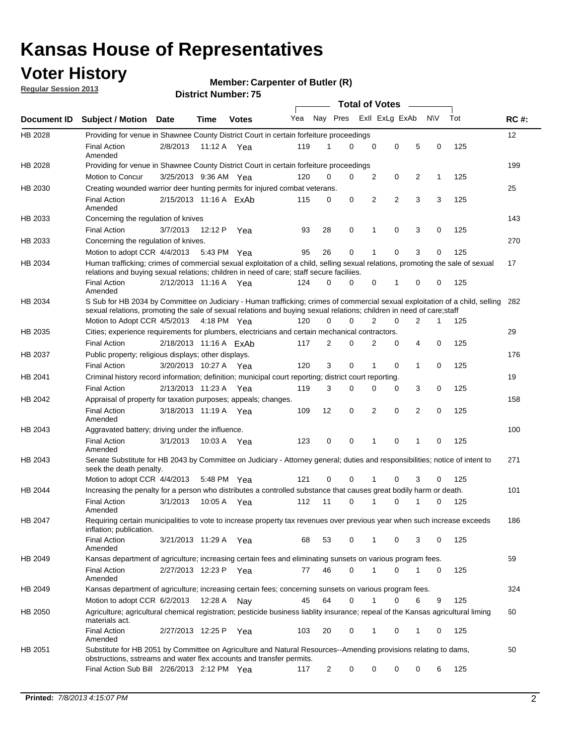## **Voter History**

**Member: Carpenter of Butler (R)** 

**Regular Session 2013**

|             |                                                                                                                                                                                                                                                       |                        |             |              |     |                | <b>Total of Votes</b> |             |                |   |           |     |             |
|-------------|-------------------------------------------------------------------------------------------------------------------------------------------------------------------------------------------------------------------------------------------------------|------------------------|-------------|--------------|-----|----------------|-----------------------|-------------|----------------|---|-----------|-----|-------------|
| Document ID | <b>Subject / Motion Date</b>                                                                                                                                                                                                                          |                        | Time        | <b>Votes</b> | Yea | Nay Pres       |                       |             | Exll ExLg ExAb |   | <b>NV</b> | Tot | <b>RC#:</b> |
| HB 2028     | Providing for venue in Shawnee County District Court in certain forfeiture proceedings                                                                                                                                                                |                        |             |              |     |                |                       |             |                |   |           |     | 12          |
|             | <b>Final Action</b><br>Amended                                                                                                                                                                                                                        | 2/8/2013               | 11:12 A Yea |              | 119 | 1              | $\Omega$              | $\mathbf 0$ | 0              | 5 | 0         | 125 |             |
| HB 2028     | Providing for venue in Shawnee County District Court in certain forfeiture proceedings                                                                                                                                                                |                        |             |              |     |                |                       |             |                |   |           |     | 199         |
|             | Motion to Concur                                                                                                                                                                                                                                      | 3/25/2013 9:36 AM Yea  |             |              | 120 | 0              | 0                     | 2           | 0              | 2 | 1         | 125 |             |
| HB 2030     | Creating wounded warrior deer hunting permits for injured combat veterans.                                                                                                                                                                            |                        |             |              |     |                | 0                     |             | $\overline{2}$ |   |           |     | 25          |
|             | <b>Final Action</b><br>Amended                                                                                                                                                                                                                        | 2/15/2013 11:16 A ExAb |             |              | 115 | 0              |                       | 2           |                | 3 | 3         | 125 |             |
| HB 2033     | Concerning the regulation of knives                                                                                                                                                                                                                   |                        |             |              |     |                |                       |             |                |   |           |     | 143         |
|             | <b>Final Action</b>                                                                                                                                                                                                                                   | 3/7/2013               | 12:12 P     | Yea          | 93  | 28             | 0                     | 1           | 0              | 3 | 0         | 125 |             |
| HB 2033     | Concerning the regulation of knives.                                                                                                                                                                                                                  |                        |             |              |     |                |                       |             |                |   |           |     | 270         |
|             | Motion to adopt CCR 4/4/2013                                                                                                                                                                                                                          |                        | 5:43 PM Yea |              | 95  | 26             | 0                     |             | 0              | 3 | 0         | 125 |             |
| HB 2034     | Human trafficking; crimes of commercial sexual exploitation of a child, selling sexual relations, promoting the sale of sexual<br>relations and buying sexual relations; children in need of care; staff secure faciliies.                            |                        |             |              |     |                |                       |             |                |   |           |     | 17          |
|             | <b>Final Action</b><br>Amended                                                                                                                                                                                                                        | 2/12/2013 11:16 A Yea  |             |              | 124 | $\Omega$       | $\Omega$              | 0           | 1              | 0 | 0         | 125 |             |
| HB 2034     | S Sub for HB 2034 by Committee on Judiciary - Human trafficking; crimes of commercial sexual exploitation of a child, selling<br>sexual relations, promoting the sale of sexual relations and buying sexual relations; children in need of care;staff |                        |             |              |     |                |                       |             |                |   |           |     | 282         |
|             | Motion to Adopt CCR 4/5/2013 4:18 PM Yea                                                                                                                                                                                                              |                        |             |              | 120 | 0              | 0                     | 2           | 0              | 2 | 1         | 125 |             |
| HB 2035     | Cities; experience requirements for plumbers, electricians and certain mechanical contractors.                                                                                                                                                        |                        |             |              |     |                |                       |             |                |   |           |     | 29          |
|             | <b>Final Action</b>                                                                                                                                                                                                                                   | 2/18/2013 11:16 A ExAb |             |              | 117 | 2              | 0                     | 2           | 0              | 4 | 0         | 125 |             |
| HB 2037     | Public property; religious displays; other displays.                                                                                                                                                                                                  |                        |             |              |     |                |                       |             |                |   |           |     | 176         |
|             | <b>Final Action</b>                                                                                                                                                                                                                                   | 3/20/2013 10:27 A Yea  |             |              | 120 | 3              | 0                     | 1           | 0              | 1 | 0         | 125 |             |
| HB 2041     | Criminal history record information; definition; municipal court reporting; district court reporting.                                                                                                                                                 |                        |             |              |     |                |                       |             |                |   |           |     | 19          |
|             | <b>Final Action</b>                                                                                                                                                                                                                                   | 2/13/2013 11:23 A      |             | Yea          | 119 | 3              | 0                     | 0           | 0              | 3 | 0         | 125 |             |
| HB 2042     | Appraisal of property for taxation purposes; appeals; changes.                                                                                                                                                                                        |                        |             |              |     |                |                       |             |                |   |           |     | 158         |
|             | <b>Final Action</b><br>Amended                                                                                                                                                                                                                        | 3/18/2013 11:19 A      |             | Yea          | 109 | 12             | 0                     | 2           | 0              | 2 | 0         | 125 |             |
| HB 2043     | Aggravated battery; driving under the influence.                                                                                                                                                                                                      |                        |             |              |     |                |                       |             |                |   |           |     | 100         |
|             | <b>Final Action</b><br>Amended                                                                                                                                                                                                                        | 3/1/2013               | 10:03 A Yea |              | 123 | 0              | 0                     |             | 0              | 1 | 0         | 125 |             |
| HB 2043     | Senate Substitute for HB 2043 by Committee on Judiciary - Attorney general; duties and responsibilities; notice of intent to<br>seek the death penalty.                                                                                               |                        |             |              |     |                |                       |             |                |   |           |     | 271         |
|             | Motion to adopt CCR 4/4/2013                                                                                                                                                                                                                          |                        | 5:48 PM Yea |              | 121 | 0              | 0                     |             | 0              | 3 | 0         | 125 |             |
| HB 2044     | Increasing the penalty for a person who distributes a controlled substance that causes great bodily harm or death.                                                                                                                                    |                        |             |              |     |                |                       |             |                |   |           |     | 101         |
|             | <b>Final Action</b><br>Amended                                                                                                                                                                                                                        | 3/1/2013               | 10:05 A     | Yea          | 112 | 11             | 0                     |             | 0              |   | 0         | 125 |             |
| HB 2047     | Requiring certain municipalities to vote to increase property tax revenues over previous year when such increase exceeds<br>inflation; publication.                                                                                                   |                        |             |              |     |                |                       |             |                |   |           |     | 186         |
|             | <b>Final Action</b><br>Amended                                                                                                                                                                                                                        | 3/21/2013 11:29 A Yea  |             |              | 68  | 53             | 0                     |             | 0              | 3 | 0         | 125 |             |
| HB 2049     | Kansas department of agriculture; increasing certain fees and eliminating sunsets on various program fees.                                                                                                                                            |                        |             |              |     |                |                       |             |                |   |           |     | 59          |
|             | <b>Final Action</b><br>Amended                                                                                                                                                                                                                        | 2/27/2013 12:23 P Yea  |             |              | 77  | 46             | 0                     | 1           | 0              | 1 | 0         | 125 |             |
| HB 2049     | Kansas department of agriculture; increasing certain fees; concerning sunsets on various program fees.                                                                                                                                                |                        |             |              |     |                |                       |             |                |   |           |     | 324         |
|             | Motion to adopt CCR 6/2/2013                                                                                                                                                                                                                          |                        | 12:28 A     | Nay          | 45  | 64             | 0                     |             | 0              | 6 | 9         | 125 |             |
| HB 2050     | Agriculture; agricultural chemical registration; pesticide business liablity insurance; repeal of the Kansas agricultural liming<br>materials act.                                                                                                    |                        |             |              |     |                |                       |             |                |   |           |     | 60          |
|             | <b>Final Action</b><br>Amended                                                                                                                                                                                                                        | 2/27/2013 12:25 P      |             | Yea          | 103 | 20             | 0                     | 1           | 0              | 1 | 0         | 125 |             |
| HB 2051     | Substitute for HB 2051 by Committee on Agriculture and Natural Resources--Amending provisions relating to dams,<br>obstructions, sstreams and water flex accounts and transfer permits.                                                               |                        |             |              |     |                |                       |             |                |   |           |     | 50          |
|             | Final Action Sub Bill 2/26/2013 2:12 PM Yea                                                                                                                                                                                                           |                        |             |              | 117 | $\overline{c}$ | 0                     | 0           | 0              | 0 | 6         | 125 |             |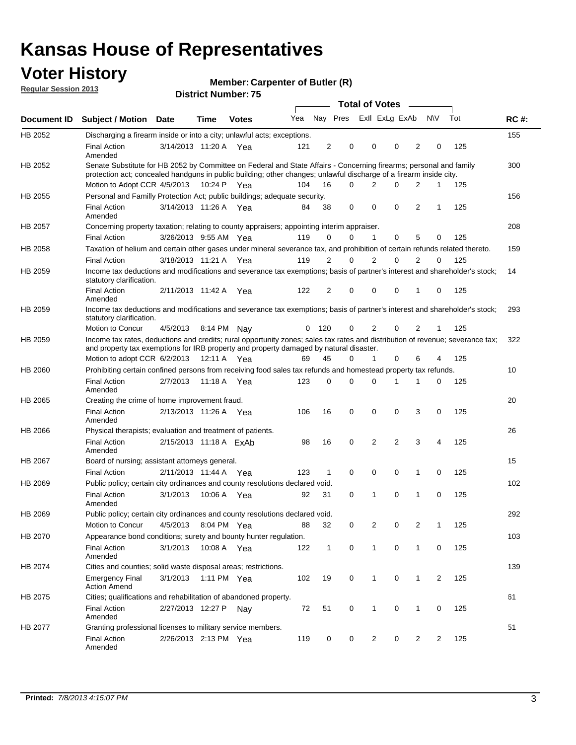## **Voter History**

**Member: Carpenter of Butler (R)** 

**Regular Session 2013**

|             |                                                                                                                                                                                                                                          |                        |             | ט ו הסעוווטנו ועוווטכו |     |                |          | <b>Total of Votes</b> |                | $\sim$         |                |             |     |             |
|-------------|------------------------------------------------------------------------------------------------------------------------------------------------------------------------------------------------------------------------------------------|------------------------|-------------|------------------------|-----|----------------|----------|-----------------------|----------------|----------------|----------------|-------------|-----|-------------|
| Document ID | <b>Subject / Motion Date</b>                                                                                                                                                                                                             |                        | <b>Time</b> | <b>Votes</b>           | Yea |                | Nay Pres |                       | Exll ExLg ExAb |                |                | <b>NV</b>   | Tot | <b>RC#:</b> |
| HB 2052     | Discharging a firearm inside or into a city; unlawful acts; exceptions.                                                                                                                                                                  |                        |             |                        |     |                |          |                       |                |                |                |             |     | 155         |
|             | <b>Final Action</b><br>Amended                                                                                                                                                                                                           | 3/14/2013 11:20 A Yea  |             |                        | 121 | $\overline{2}$ | 0        |                       | 0              | 0              | $\overline{2}$ | 0           | 125 |             |
| HB 2052     | Senate Substitute for HB 2052 by Committee on Federal and State Affairs - Concerning firearms; personal and family<br>protection act; concealed handguns in public building; other changes; unlawful discharge of a firearm inside city. |                        |             |                        |     |                |          |                       |                |                |                |             |     | 300         |
|             | Motion to Adopt CCR 4/5/2013 10:24 P Yea                                                                                                                                                                                                 |                        |             |                        | 104 | 16             | $\Omega$ |                       | 2              | 0              | 2              | 1           | 125 |             |
| HB 2055     | Personal and Familly Protection Act; public buildings; adequate security.                                                                                                                                                                |                        |             |                        |     |                |          |                       |                |                |                |             |     | 156         |
|             | <b>Final Action</b><br>Amended                                                                                                                                                                                                           | 3/14/2013 11:26 A Yea  |             |                        | 84  | 38             | 0        |                       | 0              | 0              | 2              | 1           | 125 |             |
| HB 2057     | Concerning property taxation; relating to county appraisers; appointing interim appraiser.                                                                                                                                               |                        |             |                        |     |                |          |                       |                |                |                |             |     | 208         |
|             | <b>Final Action</b>                                                                                                                                                                                                                      | 3/26/2013 9:55 AM Yea  |             |                        | 119 | 0              | 0        |                       | $\mathbf{1}$   | 0              | 5              | 0           | 125 |             |
| HB 2058     | Taxation of helium and certain other gases under mineral severance tax, and prohibition of certain refunds related thereto.                                                                                                              |                        |             |                        |     |                |          |                       |                |                |                |             |     | 159         |
|             | <b>Final Action</b>                                                                                                                                                                                                                      | 3/18/2013 11:21 A Yea  |             |                        | 119 | 2              | 0        |                       | $\overline{2}$ | $\Omega$       | 2              | $\Omega$    | 125 |             |
| HB 2059     | Income tax deductions and modifications and severance tax exemptions; basis of partner's interest and shareholder's stock;<br>statutory clarification.                                                                                   |                        |             |                        |     |                |          |                       |                |                |                |             |     | 14          |
|             | <b>Final Action</b><br>Amended                                                                                                                                                                                                           | 2/11/2013 11:42 A      |             | Yea                    | 122 | 2              | 0        |                       | 0              | 0              | 1              | 0           | 125 |             |
| HB 2059     | Income tax deductions and modifications and severance tax exemptions; basis of partner's interest and shareholder's stock;<br>statutory clarification.                                                                                   |                        |             |                        |     |                |          |                       |                |                |                |             |     | 293         |
|             | <b>Motion to Concur</b>                                                                                                                                                                                                                  | 4/5/2013               | 8:14 PM     | Nav                    | 0   | - 120          | 0        |                       | 2              | 0              | $\overline{2}$ | 1           | 125 |             |
| HB 2059     | Income tax rates, deductions and credits; rural opportunity zones; sales tax rates and distribution of revenue; severance tax;<br>and property tax exemptions for IRB property and property damaged by natural disaster.                 |                        |             |                        |     |                |          |                       |                |                |                |             |     | 322         |
|             | Motion to adopt CCR 6/2/2013                                                                                                                                                                                                             |                        | 12:11 A     | Yea                    | 69  | 45             | 0        |                       | $\mathbf{1}$   | $\Omega$       | 6              | 4           | 125 |             |
| HB 2060     | Prohibiting certain confined persons from receiving food sales tax refunds and homestead property tax refunds.                                                                                                                           |                        |             |                        |     |                |          |                       |                |                |                |             |     | 10          |
|             | <b>Final Action</b><br>Amended                                                                                                                                                                                                           | 2/7/2013               | 11:18 A     | Yea                    | 123 | $\mathbf 0$    | 0        |                       | $\Omega$       | 1              | 1              | 0           | 125 |             |
| HB 2065     | Creating the crime of home improvement fraud.                                                                                                                                                                                            |                        |             |                        |     |                |          |                       |                |                |                |             |     | 20          |
|             | <b>Final Action</b><br>Amended                                                                                                                                                                                                           | 2/13/2013 11:26 A Yea  |             |                        | 106 | 16             | 0        |                       | $\mathbf 0$    | 0              | 3              | 0           | 125 |             |
| HB 2066     | Physical therapists; evaluation and treatment of patients.                                                                                                                                                                               |                        |             |                        |     |                |          |                       |                |                |                |             |     | 26          |
|             | <b>Final Action</b><br>Amended                                                                                                                                                                                                           | 2/15/2013 11:18 A ExAb |             |                        | 98  | 16             | 0        |                       | 2              | $\overline{2}$ | 3              | 4           | 125 |             |
| HB 2067     | Board of nursing; assistant attorneys general.                                                                                                                                                                                           |                        |             |                        |     |                |          |                       |                |                |                |             |     | 15          |
|             | <b>Final Action</b>                                                                                                                                                                                                                      | 2/11/2013 11:44 A Yea  |             |                        | 123 | 1              | 0        |                       | 0              | 0              | 1              | 0           | 125 |             |
| HB 2069     | Public policy; certain city ordinances and county resolutions declared void.                                                                                                                                                             |                        |             |                        |     |                |          |                       |                |                |                |             |     | 102         |
|             | <b>Final Action</b><br>Amended                                                                                                                                                                                                           | 3/1/2013               | 10:06 A     | Yea                    | 92  | 31             | $\Omega$ |                       | 1              | $\Omega$       | 1              | $\mathbf 0$ | 125 |             |
| HB 2069     | Public policy; certain city ordinances and county resolutions declared void.                                                                                                                                                             |                        |             |                        |     |                |          |                       |                |                |                |             |     | 292         |
|             | <b>Motion to Concur</b>                                                                                                                                                                                                                  | 4/5/2013               |             | 8:04 PM Yea            | 88  | 32             | 0        |                       | 2              | 0              | $\overline{2}$ | 1           | 125 |             |
| HB 2070     | Appearance bond conditions; surety and bounty hunter regulation.                                                                                                                                                                         |                        |             |                        |     |                |          |                       |                |                |                |             |     | 103         |
|             | <b>Final Action</b><br>Amended                                                                                                                                                                                                           | 3/1/2013               |             | 10:08 A Yea            | 122 | $\mathbf{1}$   | 0        |                       | $\mathbf{1}$   | 0              | 1              | 0           | 125 |             |
| HB 2074     | Cities and counties; solid waste disposal areas; restrictions.                                                                                                                                                                           |                        |             |                        |     |                |          |                       |                |                |                |             |     | 139         |
|             | <b>Emergency Final</b><br><b>Action Amend</b>                                                                                                                                                                                            | 3/1/2013               |             | 1:11 PM Yea            | 102 | 19             | 0        |                       | 1              | 0              | 1              | 2           | 125 |             |
| HB 2075     | Cities; qualifications and rehabilitation of abandoned property.                                                                                                                                                                         |                        |             |                        |     |                |          |                       |                |                |                |             |     | 61          |
|             | <b>Final Action</b><br>Amended                                                                                                                                                                                                           | 2/27/2013 12:27 P      |             | Nav                    | 72  | 51             | 0        |                       | 1              | 0              | 1              | 0           | 125 |             |
| HB 2077     | Granting professional licenses to military service members.<br><b>Final Action</b><br>Amended                                                                                                                                            | 2/26/2013 2:13 PM Yea  |             |                        | 119 | 0              | 0        |                       | $\overline{2}$ | 0              | $\overline{2}$ | 2           | 125 | 51          |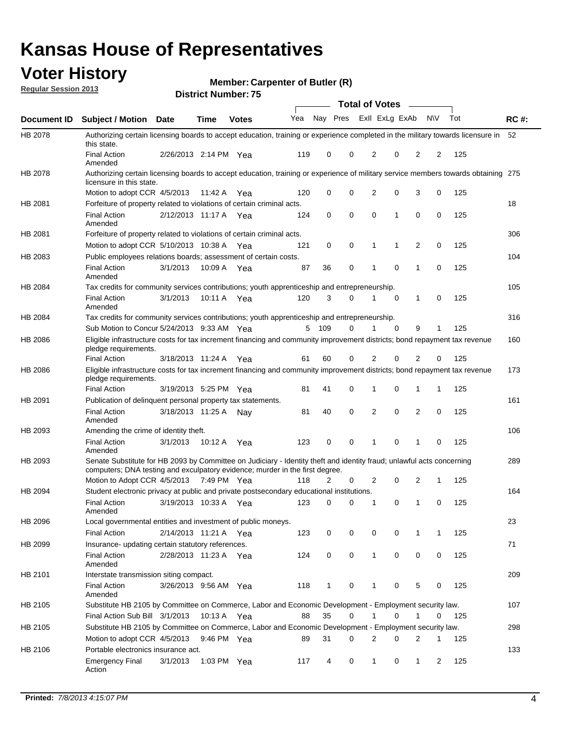## **Voter History**

**Member: Carpenter of Butler (R)** 

**Regular Session 2013**

|             |                                                                                                                                                                                                       |                       |             | ט ו הסעוווטנו ועוווטכו |     |              |             | <b>Total of Votes</b> |             | $\sim$         |           |     |             |
|-------------|-------------------------------------------------------------------------------------------------------------------------------------------------------------------------------------------------------|-----------------------|-------------|------------------------|-----|--------------|-------------|-----------------------|-------------|----------------|-----------|-----|-------------|
| Document ID | <b>Subject / Motion Date</b>                                                                                                                                                                          |                       | <b>Time</b> | <b>Votes</b>           | Yea | Nay Pres     |             | Exll ExLg ExAb        |             |                | <b>NV</b> | Tot | <b>RC#:</b> |
| HB 2078     | Authorizing certain licensing boards to accept education, training or experience completed in the military towards licensure in<br>this state.                                                        |                       |             |                        |     |              |             |                       |             |                |           |     | 52          |
|             | <b>Final Action</b><br>Amended                                                                                                                                                                        | 2/26/2013 2:14 PM Yea |             |                        | 119 | 0            | 0           | 2                     | 0           | $\overline{2}$ | 2         | 125 |             |
| HB 2078     | Authorizing certain licensing boards to accept education, training or experience of military service members towards obtaining 275<br>licensure in this state.                                        |                       |             |                        |     |              |             |                       |             |                |           |     |             |
|             | Motion to adopt CCR 4/5/2013                                                                                                                                                                          |                       | 11:42 A     | Yea                    | 120 | 0            | $\mathbf 0$ | $\overline{2}$        | 0           | 3              | 0         | 125 |             |
| HB 2081     | Forfeiture of property related to violations of certain criminal acts.                                                                                                                                |                       |             |                        |     |              |             |                       |             |                |           |     | 18          |
|             | <b>Final Action</b><br>Amended                                                                                                                                                                        | 2/12/2013 11:17 A Yea |             |                        | 124 | 0            | 0           | $\Omega$              | 1           | 0              | 0         | 125 |             |
| HB 2081     | Forfeiture of property related to violations of certain criminal acts.                                                                                                                                |                       |             |                        |     |              |             |                       |             |                |           |     | 306         |
|             | Motion to adopt CCR 5/10/2013 10:38 A                                                                                                                                                                 |                       |             | Yea                    | 121 | 0            | 0           | 1                     | 1           | 2              | 0         | 125 |             |
| HB 2083     | Public employees relations boards; assessment of certain costs.                                                                                                                                       |                       |             |                        |     |              |             |                       |             |                |           |     | 104         |
|             | <b>Final Action</b><br>Amended                                                                                                                                                                        | 3/1/2013              | 10:09 A     | Yea                    | 87  | 36           | 0           | 1                     | 0           | 1              | 0         | 125 |             |
| HB 2084     | Tax credits for community services contributions; youth apprenticeship and entrepreneurship.                                                                                                          |                       |             |                        |     |              |             |                       |             |                |           |     | 105         |
|             | <b>Final Action</b><br>Amended                                                                                                                                                                        | 3/1/2013              | 10:11 A     | Yea                    | 120 | 3            | 0           |                       | $\mathbf 0$ | $\mathbf{1}$   | 0         | 125 |             |
| HB 2084     | Tax credits for community services contributions; youth apprenticeship and entrepreneurship.                                                                                                          |                       |             |                        |     |              |             |                       |             |                |           |     | 316         |
|             | Sub Motion to Concur 5/24/2013 9:33 AM Yea                                                                                                                                                            |                       |             |                        | 5   | - 109        | 0           | 1                     | 0           | 9              | 1         | 125 |             |
| HB 2086     | Eligible infrastructure costs for tax increment financing and community improvement districts; bond repayment tax revenue<br>pledge requirements.                                                     |                       |             |                        |     |              |             |                       |             |                |           |     | 160         |
|             | <b>Final Action</b>                                                                                                                                                                                   | 3/18/2013 11:24 A     |             | Yea                    | 61  | 60           | 0           | 2                     | 0           | 2              | 0         | 125 |             |
| HB 2086     | Eligible infrastructure costs for tax increment financing and community improvement districts; bond repayment tax revenue<br>pledge requirements.                                                     |                       |             |                        |     |              |             |                       |             |                |           |     | 173         |
|             | <b>Final Action</b>                                                                                                                                                                                   | 3/19/2013 5:25 PM     |             | Yea                    | 81  | 41           | 0           | 1                     | 0           | 1              | 1         | 125 |             |
| HB 2091     | Publication of delinquent personal property tax statements.                                                                                                                                           |                       |             |                        |     |              |             |                       |             |                |           |     | 161         |
|             | <b>Final Action</b><br>Amended                                                                                                                                                                        | 3/18/2013 11:25 A     |             | Nav                    | 81  | 40           | 0           | 2                     | 0           | $\overline{2}$ | 0         | 125 |             |
| HB 2093     | Amending the crime of identity theft.                                                                                                                                                                 |                       |             |                        |     |              |             |                       |             |                |           |     | 106         |
|             | <b>Final Action</b><br>Amended                                                                                                                                                                        | 3/1/2013              | 10:12 A     | Yea                    | 123 | 0            | $\Omega$    | 1                     | 0           | 1              | 0         | 125 |             |
| HB 2093     | Senate Substitute for HB 2093 by Committee on Judiciary - Identity theft and identity fraud; unlawful acts concerning<br>computers; DNA testing and exculpatory evidence; murder in the first degree. |                       |             |                        |     |              |             |                       |             |                |           |     | 289         |
|             | Motion to Adopt CCR 4/5/2013 7:49 PM Yea                                                                                                                                                              |                       |             |                        | 118 | 2            | 0           | 2                     | 0           | 2              | 1         | 125 |             |
| HB 2094     | Student electronic privacy at public and private postsecondary educational institutions.                                                                                                              |                       |             |                        |     |              |             |                       |             |                |           |     | 164         |
|             | <b>Final Action</b><br>Amended                                                                                                                                                                        | 3/19/2013 10:33 A     |             | Yea                    | 123 | 0            | 0           | 1                     | 0           | 1              | 0         | 125 |             |
| HB 2096     | Local governmental entities and investment of public moneys.                                                                                                                                          |                       |             |                        |     |              |             |                       |             |                |           |     | 23          |
|             | <b>Final Action</b>                                                                                                                                                                                   | 2/14/2013 11:21 A     |             | Yea                    | 123 | 0            | 0           | 0                     | 0           | 1              | 1         | 125 |             |
| HB 2099     | Insurance- updating certain statutory references.                                                                                                                                                     |                       |             |                        |     |              |             |                       |             |                |           |     | 71          |
|             | <b>Final Action</b><br>Amended                                                                                                                                                                        | 2/28/2013 11:23 A     |             | Yea                    | 124 | 0            | 0           | 1                     | 0           | 0              | 0         | 125 |             |
| HB 2101     | Interstate transmission siting compact.                                                                                                                                                               |                       |             |                        |     |              |             |                       |             |                |           |     | 209         |
|             | <b>Final Action</b><br>Amended                                                                                                                                                                        | 3/26/2013 9:56 AM Yea |             |                        | 118 | $\mathbf{1}$ | 0           | 1                     | 0           | 5              | 0         | 125 |             |
| HB 2105     | Substitute HB 2105 by Committee on Commerce, Labor and Economic Development - Employment security law.                                                                                                |                       |             |                        |     |              |             |                       |             |                |           |     | 107         |
|             | Final Action Sub Bill 3/1/2013                                                                                                                                                                        |                       | 10:13 A Yea |                        | 88  | 35           | 0           |                       | 0           | 1              | 0         | 125 |             |
| HB 2105     | Substitute HB 2105 by Committee on Commerce, Labor and Economic Development - Employment security law.                                                                                                |                       |             |                        |     |              |             |                       |             |                |           |     | 298         |
|             | Motion to adopt CCR 4/5/2013                                                                                                                                                                          |                       | 9:46 PM Yea |                        | 89  | 31           | 0           | 2                     | 0           | 2              | 1         | 125 |             |
| HB 2106     | Portable electronics insurance act.                                                                                                                                                                   |                       |             |                        |     |              |             |                       |             |                |           |     | 133         |
|             | <b>Emergency Final</b><br>Action                                                                                                                                                                      | 3/1/2013              | 1:03 PM Yea |                        | 117 | 4            | 0           | $\mathbf{1}$          | 0           | $\mathbf{1}$   | 2         | 125 |             |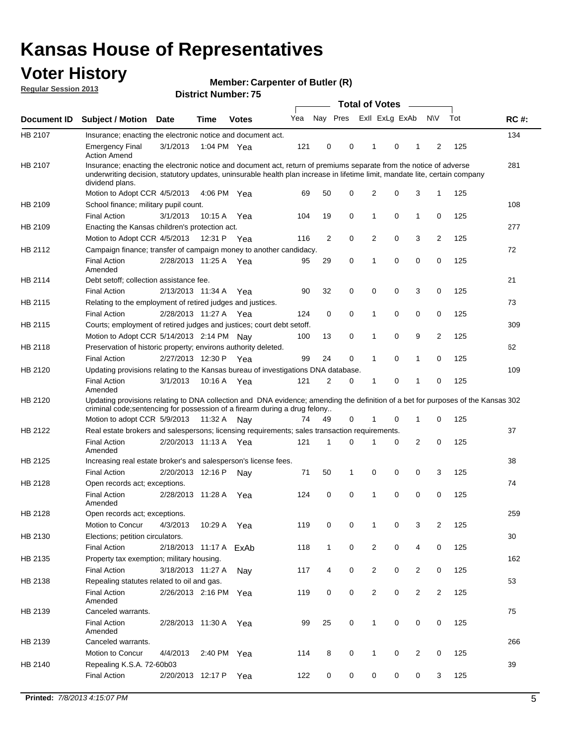## **Voter History**

**Member: Carpenter of Butler (R)** 

**Regular Session 2013**

|             |                                                                                                                                                                                                                                                                      |                        |             | ר וסמווטג ו <b>שמווועדו</b> |     |                |             | <b>Total of Votes</b> |   | $\sim$         |                |     |             |
|-------------|----------------------------------------------------------------------------------------------------------------------------------------------------------------------------------------------------------------------------------------------------------------------|------------------------|-------------|-----------------------------|-----|----------------|-------------|-----------------------|---|----------------|----------------|-----|-------------|
| Document ID | <b>Subject / Motion Date</b>                                                                                                                                                                                                                                         |                        | <b>Time</b> | <b>Votes</b>                | Yea | Nay Pres       |             | Exll ExLg ExAb        |   |                | <b>NV</b>      | Tot | <b>RC#:</b> |
| HB 2107     | Insurance; enacting the electronic notice and document act.                                                                                                                                                                                                          |                        |             |                             |     |                |             |                       |   |                |                |     | 134         |
|             | <b>Emergency Final</b><br><b>Action Amend</b>                                                                                                                                                                                                                        | 3/1/2013               | 1:04 PM Yea |                             | 121 | 0              | 0           | 1                     | 0 | 1              | 2              | 125 |             |
| HB 2107     | Insurance; enacting the electronic notice and document act, return of premiums separate from the notice of adverse<br>underwriting decision, statutory updates, uninsurable health plan increase in lifetime limit, mandate lite, certain company<br>dividend plans. |                        |             |                             |     |                |             |                       |   |                |                |     | 281         |
|             | Motion to Adopt CCR 4/5/2013                                                                                                                                                                                                                                         |                        | 4:06 PM Yea |                             | 69  | 50             | 0           | 2                     | 0 | 3              | $\mathbf{1}$   | 125 |             |
| HB 2109     | School finance; military pupil count.                                                                                                                                                                                                                                |                        |             |                             |     |                |             |                       |   |                |                |     | 108         |
|             | <b>Final Action</b>                                                                                                                                                                                                                                                  | 3/1/2013               | 10:15A      | Yea                         | 104 | 19             | 0           | 1                     | 0 | $\mathbf{1}$   | 0              | 125 |             |
| HB 2109     | Enacting the Kansas children's protection act.                                                                                                                                                                                                                       |                        |             |                             |     |                |             |                       |   |                |                |     | 277         |
|             | Motion to Adopt CCR 4/5/2013                                                                                                                                                                                                                                         |                        | 12:31 P     | Yea                         | 116 | $\overline{2}$ | 0           | 2                     | 0 | 3              | $\overline{2}$ | 125 |             |
| HB 2112     | Campaign finance; transfer of campaign money to another candidacy.                                                                                                                                                                                                   |                        |             |                             |     |                |             |                       |   |                |                |     | 72          |
|             | <b>Final Action</b><br>Amended                                                                                                                                                                                                                                       | 2/28/2013 11:25 A Yea  |             |                             | 95  | 29             | 0           | 1                     | 0 | 0              | 0              | 125 |             |
| HB 2114     | Debt setoff; collection assistance fee.                                                                                                                                                                                                                              |                        |             |                             |     |                |             |                       |   |                |                |     | 21          |
|             | <b>Final Action</b>                                                                                                                                                                                                                                                  | 2/13/2013 11:34 A      |             | Yea                         | 90  | 32             | 0           | 0                     | 0 | 3              | 0              | 125 |             |
| HB 2115     | Relating to the employment of retired judges and justices.                                                                                                                                                                                                           |                        |             |                             |     |                |             |                       |   |                |                |     | 73          |
|             | <b>Final Action</b>                                                                                                                                                                                                                                                  | 2/28/2013 11:27 A      |             | Yea                         | 124 | 0              | $\mathbf 0$ | 1                     | 0 | 0              | 0              | 125 |             |
| HB 2115     | Courts; employment of retired judges and justices; court debt setoff.                                                                                                                                                                                                |                        |             |                             |     |                |             |                       |   |                |                |     | 309         |
|             | Motion to Adopt CCR 5/14/2013 2:14 PM                                                                                                                                                                                                                                |                        |             | Nav                         | 100 | 13             | 0           | 1                     | 0 | 9              | 2              | 125 |             |
| HB 2118     | Preservation of historic property; environs authority deleted.                                                                                                                                                                                                       |                        |             |                             |     |                |             |                       |   |                |                |     | 62          |
|             | <b>Final Action</b>                                                                                                                                                                                                                                                  | 2/27/2013 12:30 P      |             | Yea                         | 99  | 24             | 0           | 1                     | 0 | $\mathbf{1}$   | 0              | 125 |             |
| HB 2120     | Updating provisions relating to the Kansas bureau of investigations DNA database.                                                                                                                                                                                    |                        |             |                             |     |                |             |                       |   |                |                |     | 109         |
|             | <b>Final Action</b><br>Amended                                                                                                                                                                                                                                       | 3/1/2013               | 10:16 A     | Yea                         | 121 | 2              | 0           | 1                     | 0 | 1              | 0              | 125 |             |
| HB 2120     | Updating provisions relating to DNA collection and DNA evidence; amending the definition of a bet for purposes of the Kansas 302<br>criminal code; sentencing for possession of a firearm during a drug felony                                                       |                        |             |                             |     |                |             |                       |   |                |                |     |             |
|             | Motion to adopt CCR 5/9/2013 11:32 A Nay                                                                                                                                                                                                                             |                        |             |                             | 74  | 49             | 0           |                       | 0 | 1              | 0              | 125 |             |
| HB 2122     | Real estate brokers and salespersons; licensing requirements; sales transaction requirements.                                                                                                                                                                        |                        |             |                             |     |                |             |                       |   |                |                |     | 37          |
|             | <b>Final Action</b><br>Amended                                                                                                                                                                                                                                       | 2/20/2013 11:13 A Yea  |             |                             | 121 | 1              | 0           |                       | 0 | 2              | 0              | 125 |             |
| HB 2125     | Increasing real estate broker's and salesperson's license fees.                                                                                                                                                                                                      |                        |             |                             |     |                |             |                       |   |                |                |     | 38          |
|             | <b>Final Action</b>                                                                                                                                                                                                                                                  | 2/20/2013 12:16 P      |             | Nav                         | 71  | 50             | 1           | 0                     | 0 | 0              | 3              | 125 |             |
| HB 2128     | Open records act; exceptions.                                                                                                                                                                                                                                        |                        |             |                             |     |                |             |                       |   |                |                |     | 74          |
|             | <b>Final Action</b><br>Amended                                                                                                                                                                                                                                       | 2/28/2013 11:28 A      |             | Yea                         | 124 | 0              | 0           | 1                     | 0 | 0              | 0              | 125 |             |
| HB 2128     | Open records act; exceptions.                                                                                                                                                                                                                                        |                        |             |                             |     |                |             |                       |   |                |                |     | 259         |
|             | Motion to Concur                                                                                                                                                                                                                                                     | 4/3/2013               | 10:29 A     | Yea                         | 119 | 0              | 0           | 1                     | 0 | 3              | $\overline{2}$ | 125 |             |
| HB 2130     | Elections; petition circulators.                                                                                                                                                                                                                                     |                        |             |                             |     |                |             |                       |   |                |                |     | 30          |
|             | <b>Final Action</b>                                                                                                                                                                                                                                                  | 2/18/2013 11:17 A ExAb |             |                             | 118 | $\mathbf{1}$   | 0           | $\overline{c}$        | 0 | 4              | 0              | 125 |             |
| HB 2135     | Property tax exemption; military housing.                                                                                                                                                                                                                            |                        |             |                             |     |                |             |                       |   |                |                |     | 162         |
|             | <b>Final Action</b>                                                                                                                                                                                                                                                  | 3/18/2013 11:27 A      |             | Nay                         | 117 | 4              | 0           | $\overline{c}$        | 0 | $\overline{2}$ | 0              | 125 |             |
| HB 2138     | Repealing statutes related to oil and gas.                                                                                                                                                                                                                           |                        |             |                             |     |                |             |                       |   |                |                |     | 53          |
|             | <b>Final Action</b><br>Amended                                                                                                                                                                                                                                       | 2/26/2013 2:16 PM Yea  |             |                             | 119 | 0              | 0           | 2                     | 0 | $\overline{2}$ | 2              | 125 |             |
| HB 2139     | Canceled warrants.                                                                                                                                                                                                                                                   |                        |             |                             |     |                |             |                       |   |                |                |     | 75          |
|             | <b>Final Action</b><br>Amended                                                                                                                                                                                                                                       | 2/28/2013 11:30 A      |             | Yea                         | 99  | 25             | 0           | 1                     | 0 | 0              | 0              | 125 |             |
| HB 2139     | Canceled warrants.                                                                                                                                                                                                                                                   |                        |             |                             |     |                |             |                       |   |                |                |     | 266         |
|             | Motion to Concur                                                                                                                                                                                                                                                     | 4/4/2013               | 2:40 PM     | Yea                         | 114 | 8              | 0           | 1                     | 0 | 2              | 0              | 125 |             |
| HB 2140     | Repealing K.S.A. 72-60b03                                                                                                                                                                                                                                            |                        |             |                             |     |                |             |                       |   |                |                |     | 39          |
|             | <b>Final Action</b>                                                                                                                                                                                                                                                  | 2/20/2013 12:17 P      |             | Yea                         | 122 | 0              | 0           | 0                     | 0 | 0              | 3              | 125 |             |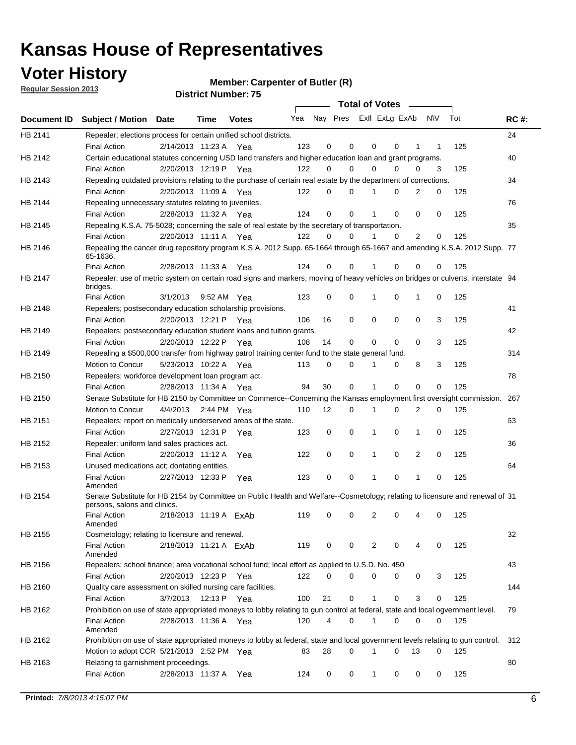**Voter History** 

**Member: Carpenter of Butler (R)** 

**Regular Session 2013**

|                |                                                                                                                                              |                       |                        |                        |                             |    | <b>Total of Votes</b> |              |          | $\sim$      |     |     |             |
|----------------|----------------------------------------------------------------------------------------------------------------------------------------------|-----------------------|------------------------|------------------------|-----------------------------|----|-----------------------|--------------|----------|-------------|-----|-----|-------------|
|                | Document ID Subject / Motion Date                                                                                                            |                       | Time                   | <b>Votes</b>           | Yea Nay Pres ExII ExLg ExAb |    |                       |              |          |             | N\V | Tot | <b>RC#:</b> |
| HB 2141        | Repealer; elections process for certain unified school districts.                                                                            |                       |                        |                        |                             |    |                       |              |          |             |     |     | 24          |
|                | <b>Final Action</b>                                                                                                                          | 2/14/2013 11:23 A     |                        | Yea                    | 123                         | 0  | 0                     | 0            | 0        | 1           | 1   | 125 |             |
| HB 2142        | Certain educational statutes concerning USD land transfers and higher education loan and grant programs.                                     |                       |                        |                        |                             |    |                       |              |          |             |     |     | 40          |
|                | <b>Final Action</b>                                                                                                                          | 2/20/2013 12:19 P     |                        | Yea                    | 122                         | 0  | 0                     | 0            | 0        | 0           | 3   | 125 |             |
| HB 2143        | Repealing outdated provisions relating to the purchase of certain real estate by the department of corrections.                              |                       |                        |                        |                             |    |                       |              |          |             |     |     | 34          |
|                | <b>Final Action</b>                                                                                                                          |                       | 2/20/2013 11:09 A Yea  |                        | 122                         | 0  | 0                     |              | 0        | 2           | 0   | 125 |             |
| HB 2144        | Repealing unnecessary statutes relating to juveniles.                                                                                        |                       |                        |                        |                             |    |                       |              |          |             |     |     | 76          |
|                | <b>Final Action</b>                                                                                                                          |                       | 2/28/2013 11:32 A Yea  |                        | 124                         | 0  | 0                     |              | 0        | 0           | 0   | 125 |             |
| <b>HB 2145</b> | Repealing K.S.A. 75-5028; concerning the sale of real estate by the secretary of transportation.                                             |                       |                        |                        |                             |    |                       |              |          |             |     |     | 35          |
|                | <b>Final Action</b>                                                                                                                          |                       | 2/20/2013 11:11 A Yea  |                        | 122                         | 0  | 0                     |              | 0        | 2           | 0   | 125 |             |
| HB 2146        | Repealing the cancer drug repository program K.S.A. 2012 Supp. 65-1664 through 65-1667 and amending K.S.A. 2012 Supp. 77<br>65-1636.         |                       |                        |                        |                             |    |                       |              |          |             |     |     |             |
|                | <b>Final Action</b>                                                                                                                          |                       | 2/28/2013 11:33 A      | Yea                    | 124                         | 0  | 0                     |              | 0        | 0           | 0   | 125 |             |
| HB 2147        | Repealer; use of metric system on certain road signs and markers, moving of heavy vehicles on bridges or culverts, interstate 94<br>bridges. |                       |                        |                        |                             |    |                       |              |          |             |     |     |             |
|                | <b>Final Action</b>                                                                                                                          | 3/1/2013              |                        | 9:52 AM Yea            | 123                         | 0  | 0                     | 1            | 0        | 1           | 0   | 125 |             |
| HB 2148        | Repealers; postsecondary education scholarship provisions.                                                                                   |                       |                        |                        |                             |    |                       |              |          |             |     |     | 41          |
|                | <b>Final Action</b>                                                                                                                          | 2/20/2013 12:21 P Yea |                        |                        | 106                         | 16 | 0                     | 0            | 0        | 0           | 3   | 125 |             |
| HB 2149        | Repealers; postsecondary education student loans and tuition grants.                                                                         |                       |                        |                        |                             |    |                       |              |          |             |     |     | 42          |
|                | <b>Final Action</b>                                                                                                                          |                       | 2/20/2013 12:22 P      | Yea                    | 108                         | 14 | 0                     | 0            | 0        | $\Omega$    | 3   | 125 |             |
| HB 2149        | Repealing a \$500,000 transfer from highway patrol training center fund to the state general fund.                                           |                       |                        |                        |                             |    |                       |              |          |             |     |     | 314         |
|                | Motion to Concur                                                                                                                             |                       | 5/23/2013 10:22 A Yea  |                        | 113                         | 0  | 0                     | 1            | 0        | 8           | 3   | 125 |             |
| HB 2150        | Repealers; workforce development loan program act.                                                                                           |                       |                        |                        |                             |    |                       |              |          |             |     |     | 78          |
|                | <b>Final Action</b>                                                                                                                          |                       | 2/28/2013 11:34 A Yea  |                        | 94                          | 30 | 0                     | 1            | 0        | $\mathbf 0$ | 0   | 125 |             |
| HB 2150        | Senate Substitute for HB 2150 by Committee on Commerce--Concerning the Kansas employment first oversight commission.                         |                       |                        |                        |                             |    |                       |              |          |             |     |     | 267         |
|                | Motion to Concur                                                                                                                             | 4/4/2013              |                        | 2:44 PM Yea            | 110                         | 12 | 0                     | 1            | 0        | 2           | 0   | 125 |             |
| HB 2151        | Repealers; report on medically underserved areas of the state.                                                                               |                       |                        |                        |                             |    |                       |              |          |             |     |     | 63          |
|                | <b>Final Action</b>                                                                                                                          |                       | 2/27/2013 12:31 P      | Yea                    | 123                         | 0  | 0                     | 1            | 0        | 1           | 0   | 125 |             |
| HB 2152        | Repealer: uniform land sales practices act.                                                                                                  |                       |                        |                        |                             |    |                       |              |          |             |     |     | 36          |
|                | <b>Final Action</b>                                                                                                                          |                       | 2/20/2013 11:12 A      | Yea                    | 122                         | 0  | 0                     | 1            | 0        | 2           | 0   | 125 |             |
| HB 2153        | Unused medications act; dontating entities.                                                                                                  |                       |                        |                        |                             |    |                       |              |          |             |     |     | 64          |
|                | <b>Final Action</b><br>Amended                                                                                                               | 2/27/2013 12:33 P     |                        | Yea                    | 123                         | 0  | 0                     |              | 0        | 1           | 0   | 125 |             |
| HB 2154        | Senate Substitute for HB 2154 by Committee on Public Health and Welfare--Cosmetology; relating to licensure and renewal of 31                |                       |                        |                        |                             |    |                       |              |          |             |     |     |             |
|                | persons, salons and clinics.<br><b>Final Action</b><br>Amended                                                                               |                       | 2/18/2013 11:19 A ExAb |                        | 119                         | 0  | 0                     | 2            | 0        |             | 0   | 125 |             |
| HB 2155        | Cosmetology; relating to licensure and renewal.                                                                                              |                       |                        |                        |                             |    |                       |              |          |             |     |     | 32          |
|                | <b>Final Action</b><br>Amended                                                                                                               |                       |                        | 2/18/2013 11:21 A ExAb | 119                         | 0  | 0                     | 2            | 0        | 4           | 0   | 125 |             |
| HB 2156        | Repealers; school finance; area vocational school fund; local effort as applied to U.S.D. No. 450                                            |                       |                        |                        |                             |    |                       |              |          |             |     |     | 43          |
|                | <b>Final Action</b>                                                                                                                          | 2/20/2013 12:23 P     |                        | Yea                    | 122                         | 0  | $\Omega$              | 0            | 0        | 0           | 3   | 125 |             |
| HB 2160        | Quality care assessment on skilled nursing care facilities.                                                                                  |                       |                        |                        |                             |    |                       |              |          |             |     |     | 144         |
|                | <b>Final Action</b>                                                                                                                          | 3/7/2013              | 12:13 P                | Yea                    | 100                         | 21 | 0                     | $\mathbf{1}$ | 0        | 3           | 0   | 125 |             |
| HB 2162        | Prohibition on use of state appropriated moneys to lobby relating to gun control at federal, state and local ogvernment level.               |                       |                        |                        |                             |    |                       |              |          |             |     |     | 79          |
|                | <b>Final Action</b><br>Amended                                                                                                               |                       | 2/28/2013 11:36 A Yea  |                        | 120                         | 4  | 0                     | 1            | 0        | 0           | 0   | 125 |             |
| HB 2162        | Prohibition on use of state appropriated moneys to lobby at federal, state and local government levels relating to gun control.              |                       |                        |                        |                             |    |                       |              |          |             |     |     | 312         |
|                | Motion to adopt CCR 5/21/2013 2:52 PM Yea                                                                                                    |                       |                        |                        | 83                          | 28 | 0                     | 1            | $\Omega$ | 13          | 0   | 125 |             |
| HB 2163        | Relating to garnishment proceedings.                                                                                                         |                       |                        |                        |                             |    |                       |              |          |             |     |     | 80          |
|                | <b>Final Action</b>                                                                                                                          |                       | 2/28/2013 11:37 A Yea  |                        | 124                         | 0  | 0                     | $\mathbf{1}$ | 0        | 0           | 0   | 125 |             |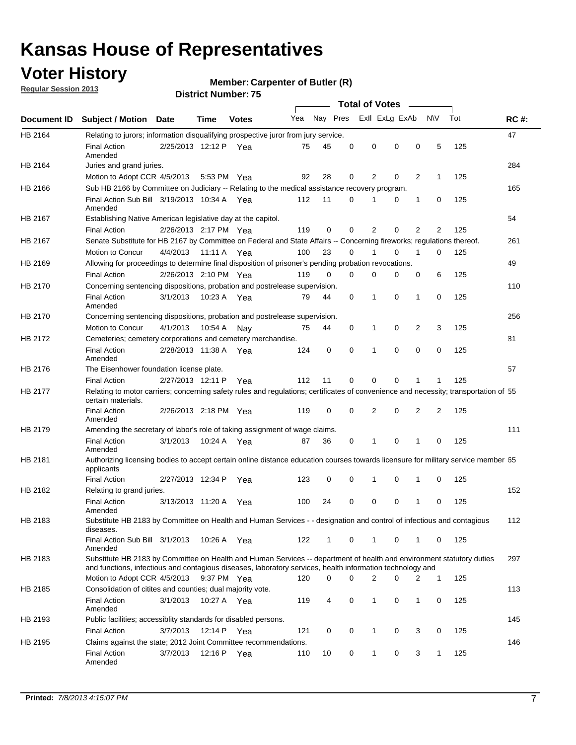## **Voter History**

**Regular Session 2013**

#### **Member: Carpenter of Butler (R)**

|                    |                                                                                                                                                                                                                                    |                       |             | ו וסעוווענו ועשווועכן. <i>ב</i> ש |     |              |          | <b>Total of Votes</b> |          | $\sim$ |                |     |             |
|--------------------|------------------------------------------------------------------------------------------------------------------------------------------------------------------------------------------------------------------------------------|-----------------------|-------------|-----------------------------------|-----|--------------|----------|-----------------------|----------|--------|----------------|-----|-------------|
| <b>Document ID</b> | <b>Subject / Motion Date</b>                                                                                                                                                                                                       |                       | Time        | <b>Votes</b>                      |     | Yea Nay Pres |          | Exll ExLg ExAb        |          |        | <b>NV</b>      | Tot | <b>RC#:</b> |
| HB 2164            | Relating to jurors; information disqualifying prospective juror from jury service.                                                                                                                                                 |                       |             |                                   |     |              |          |                       |          |        |                |     | 47          |
|                    | <b>Final Action</b><br>Amended                                                                                                                                                                                                     | 2/25/2013 12:12 P Yea |             |                                   | 75  | 45           | 0        | 0                     | 0        | 0      | 5              | 125 |             |
| HB 2164            | Juries and grand juries.                                                                                                                                                                                                           |                       |             |                                   |     |              |          |                       |          |        |                |     | 284         |
|                    | Motion to Adopt CCR 4/5/2013                                                                                                                                                                                                       |                       |             | 5:53 PM Yea                       | 92  | 28           | 0        | 2                     | 0        | 2      | $\mathbf 1$    | 125 |             |
| HB 2166            | Sub HB 2166 by Committee on Judiciary -- Relating to the medical assistance recovery program.                                                                                                                                      |                       |             |                                   |     |              |          |                       |          |        |                |     | 165         |
|                    | Final Action Sub Bill 3/19/2013 10:34 A Yea<br>Amended                                                                                                                                                                             |                       |             |                                   | 112 | 11           | 0        | 1                     | 0        | 1      | 0              | 125 |             |
| HB 2167            | Establishing Native American legislative day at the capitol.                                                                                                                                                                       |                       |             |                                   |     |              |          |                       |          |        |                |     | 54          |
|                    | <b>Final Action</b>                                                                                                                                                                                                                | 2/26/2013 2:17 PM Yea |             |                                   | 119 | 0            | 0        | 2                     | 0        | 2      | 2              | 125 |             |
| HB 2167            | Senate Substitute for HB 2167 by Committee on Federal and State Affairs -- Concerning fireworks; regulations thereof.                                                                                                              |                       |             |                                   |     |              |          |                       |          |        |                |     | 261         |
|                    | Motion to Concur                                                                                                                                                                                                                   | 4/4/2013              | 11:11 A Yea |                                   | 100 | 23           | 0        | 1                     | 0        | 1      | 0              | 125 |             |
| HB 2169            | Allowing for proceedings to determine final disposition of prisoner's pending probation revocations.                                                                                                                               |                       |             |                                   |     |              |          |                       |          |        |                |     | 49          |
|                    | <b>Final Action</b>                                                                                                                                                                                                                | 2/26/2013 2:10 PM Yea |             |                                   | 119 | 0            | 0        | 0                     | 0        | 0      | 6              | 125 |             |
| HB 2170            | Concerning sentencing dispositions, probation and postrelease supervision.                                                                                                                                                         |                       |             |                                   |     |              |          |                       |          |        |                |     | 110         |
|                    | <b>Final Action</b><br>Amended                                                                                                                                                                                                     | 3/1/2013              |             | 10:23 A Yea                       | 79  | 44           | 0        | 1                     | 0        | 1      | 0              | 125 |             |
| HB 2170            | Concerning sentencing dispositions, probation and postrelease supervision.                                                                                                                                                         |                       |             |                                   |     |              |          |                       |          |        |                |     | 256         |
|                    | Motion to Concur                                                                                                                                                                                                                   | 4/1/2013              | 10:54 A     | Nay                               | 75  | 44           | 0        | $\mathbf{1}$          | 0        | 2      | 3              | 125 |             |
| HB 2172            | Cemeteries; cemetery corporations and cemetery merchandise.                                                                                                                                                                        |                       |             |                                   |     |              |          |                       |          |        |                |     | 81          |
|                    | <b>Final Action</b><br>Amended                                                                                                                                                                                                     | 2/28/2013 11:38 A Yea |             |                                   | 124 | 0            | $\Omega$ | 1                     | $\Omega$ | 0      | 0              | 125 |             |
| HB 2176            | The Eisenhower foundation license plate.                                                                                                                                                                                           |                       |             |                                   |     |              |          |                       |          |        |                |     | 57          |
|                    | <b>Final Action</b>                                                                                                                                                                                                                | 2/27/2013 12:11 P     |             | Yea                               | 112 | 11           | 0        | 0                     | 0        |        | 1              | 125 |             |
| HB 2177            | Relating to motor carriers; concerning safety rules and regulations; certificates of convenience and necessity; transportation of 55<br>certain materials.                                                                         |                       |             |                                   |     |              |          |                       |          |        |                |     |             |
|                    | <b>Final Action</b><br>Amended                                                                                                                                                                                                     | 2/26/2013 2:18 PM Yea |             |                                   | 119 | 0            | 0        | 2                     | 0        | 2      | $\overline{2}$ | 125 |             |
| HB 2179            | Amending the secretary of labor's role of taking assignment of wage claims.                                                                                                                                                        |                       |             |                                   |     |              |          |                       |          |        |                |     | 111         |
|                    | <b>Final Action</b><br>Amended                                                                                                                                                                                                     | 3/1/2013              | 10:24 A Yea |                                   | 87  | 36           | 0        | 1                     | $\Omega$ |        | 0              | 125 |             |
| HB 2181            | Authorizing licensing bodies to accept certain online distance education courses towards licensure for military service member 55<br>applicants                                                                                    |                       |             |                                   |     |              |          |                       |          |        |                |     |             |
|                    | <b>Final Action</b>                                                                                                                                                                                                                | 2/27/2013 12:34 P     |             | Yea                               | 123 | 0            | 0        | 1                     | 0        | 1      | 0              | 125 |             |
| HB 2182            | Relating to grand juries.                                                                                                                                                                                                          |                       |             |                                   |     |              |          |                       |          |        |                |     | 152         |
|                    | <b>Final Action</b><br>Amended                                                                                                                                                                                                     | 3/13/2013 11:20 A     |             | Yea                               | 100 | 24           | 0        | 0                     | 0        | 1      | 0              | 125 |             |
| HB 2183            | Substitute HB 2183 by Committee on Health and Human Services - - designation and control of infectious and contagious<br>diseases.                                                                                                 |                       |             |                                   |     |              |          |                       |          |        |                |     | 112         |
|                    | Final Action Sub Bill 3/1/2013<br>Amended                                                                                                                                                                                          |                       |             | 10:26 A Yea                       | 122 | $\mathbf{1}$ | 0        | 1                     | 0        | 1      | 0              | 125 |             |
| HB 2183            | Substitute HB 2183 by Committee on Health and Human Services -- department of health and environment statutory duties<br>and functions, infectious and contagious diseases, laboratory services, health information technology and |                       |             |                                   |     |              |          |                       |          |        |                |     | 297         |
|                    | Motion to Adopt CCR 4/5/2013                                                                                                                                                                                                       |                       |             | 9:37 PM Yea                       | 120 | 0            | 0        | 2                     | 0        | 2      | $\mathbf{1}$   | 125 |             |
| HB 2185            | Consolidation of citites and counties; dual majority vote.                                                                                                                                                                         |                       |             |                                   |     |              |          |                       |          |        |                |     | 113         |
|                    | <b>Final Action</b><br>Amended                                                                                                                                                                                                     | 3/1/2013              |             | 10:27 A Yea                       | 119 | 4            | 0        | 1                     | 0        | 1      | 0              | 125 |             |
| HB 2193            | Public facilities; accessiblity standards for disabled persons.                                                                                                                                                                    |                       |             |                                   |     |              |          |                       |          |        |                |     | 145         |
|                    | <b>Final Action</b>                                                                                                                                                                                                                | 3/7/2013              | 12:14 P     | Yea                               | 121 | 0            | 0        | 1                     | 0        | 3      | 0              | 125 |             |
| HB 2195            | Claims against the state; 2012 Joint Committee recommendations.                                                                                                                                                                    |                       |             |                                   |     |              |          |                       |          |        |                |     | 146         |
|                    | <b>Final Action</b><br>Amended                                                                                                                                                                                                     | 3/7/2013              |             | 12:16 P Yea                       | 110 | 10           | 0        | $\mathbf{1}$          | 0        | 3      | $\mathbf{1}$   | 125 |             |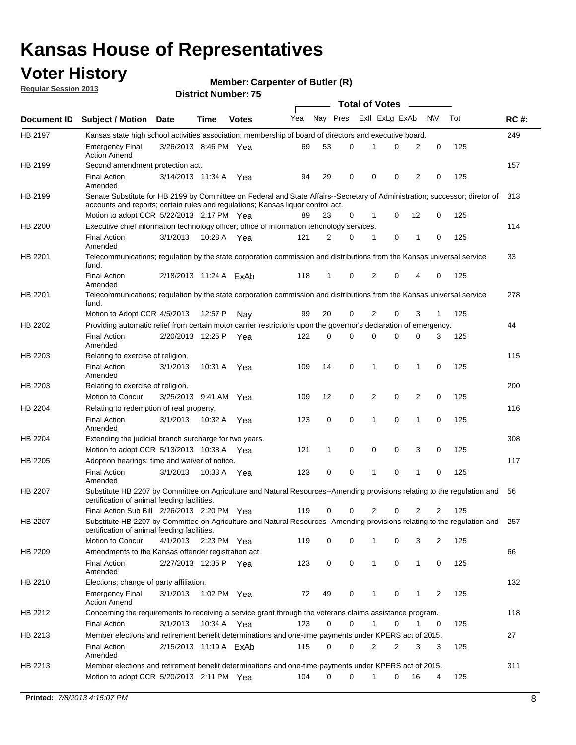## **Voter History**

**Member: Carpenter of Butler (R)** 

**Regular Session 2013**

|             |                                                                                                                                                                             |                        |             |              |     |          |   | <b>Total of Votes</b> |   |              |            |     |             |
|-------------|-----------------------------------------------------------------------------------------------------------------------------------------------------------------------------|------------------------|-------------|--------------|-----|----------|---|-----------------------|---|--------------|------------|-----|-------------|
| Document ID | <b>Subject / Motion Date</b>                                                                                                                                                |                        | Time        | <b>Votes</b> | Yea | Nay Pres |   | Exll ExLg ExAb        |   |              | <b>N/A</b> | Tot | <b>RC#:</b> |
| HB 2197     | Kansas state high school activities association; membership of board of directors and executive board.                                                                      |                        |             |              |     |          |   |                       |   |              |            |     | 249         |
|             | Emergency Final<br><b>Action Amend</b>                                                                                                                                      | 3/26/2013 8:46 PM Yea  |             |              | 69  | 53       | 0 |                       | 0 | 2            | 0          | 125 |             |
| HB 2199     | Second amendment protection act.                                                                                                                                            |                        |             |              |     |          |   |                       |   |              |            |     | 157         |
|             | <b>Final Action</b><br>Amended                                                                                                                                              | 3/14/2013 11:34 A      |             | Yea          | 94  | 29       | 0 | 0                     | 0 | 2            | 0          | 125 |             |
| HB 2199     | Senate Substitute for HB 2199 by Committee on Federal and State Affairs--Secretary of Administration; successor; diretor of                                                 |                        |             |              |     |          |   |                       |   |              |            |     | 313         |
|             | accounts and reports; certain rules and regulations; Kansas liquor control act.                                                                                             |                        |             |              |     |          |   |                       |   |              |            |     |             |
|             | Motion to adopt CCR 5/22/2013 2:17 PM Yea                                                                                                                                   |                        |             |              | 89  | 23       | 0 | 1                     | 0 | 12           | 0          | 125 |             |
| HB 2200     | Executive chief information technology officer; office of information tehcnology services.                                                                                  |                        |             |              |     |          |   |                       |   |              |            |     | 114         |
|             | <b>Final Action</b><br>Amended                                                                                                                                              | 3/1/2013               | 10:28 A     | Yea          | 121 | 2        | 0 | 1                     | 0 | 1            | 0          | 125 |             |
| HB 2201     | Telecommunications; regulation by the state corporation commission and distributions from the Kansas universal service<br>fund.                                             |                        |             |              |     |          |   |                       |   |              |            |     | 33          |
|             | <b>Final Action</b><br>Amended                                                                                                                                              | 2/18/2013 11:24 A ExAb |             |              | 118 | 1        | 0 | 2                     | 0 | 4            | 0          | 125 |             |
| HB 2201     | Telecommunications; regulation by the state corporation commission and distributions from the Kansas universal service<br>fund.                                             |                        |             |              |     |          |   |                       |   |              |            |     | 278         |
|             | Motion to Adopt CCR 4/5/2013                                                                                                                                                |                        | 12:57 P     | Nav          | 99  | 20       | 0 | 2                     | 0 | 3            | 1          | 125 |             |
| HB 2202     | Providing automatic relief from certain motor carrier restrictions upon the governor's declaration of emergency.                                                            |                        |             |              |     |          |   |                       |   |              |            |     | 44          |
|             | <b>Final Action</b><br>Amended                                                                                                                                              | 2/20/2013 12:25 P      |             | Yea          | 122 | 0        | 0 | 0                     | 0 | 0            | 3          | 125 |             |
| HB 2203     | Relating to exercise of religion.                                                                                                                                           |                        |             |              |     |          |   |                       |   |              |            |     | 115         |
|             | <b>Final Action</b><br>Amended                                                                                                                                              | 3/1/2013               | 10:31 A     | Yea          | 109 | 14       | 0 | 1                     | 0 | 1            | 0          | 125 |             |
| HB 2203     | Relating to exercise of religion.                                                                                                                                           |                        |             |              |     |          |   |                       |   |              |            |     | 200         |
|             | Motion to Concur                                                                                                                                                            | 3/25/2013 9:41 AM      |             | Yea          | 109 | 12       | 0 | 2                     | 0 | 2            | 0          | 125 |             |
| HB 2204     | Relating to redemption of real property.                                                                                                                                    |                        |             |              |     |          |   |                       |   |              |            |     | 116         |
|             | <b>Final Action</b>                                                                                                                                                         | 3/1/2013               | 10:32 A     | Yea          | 123 | 0        | 0 | 1                     | 0 | 1            | 0          | 125 |             |
| HB 2204     | Amended<br>Extending the judicial branch surcharge for two years.                                                                                                           |                        |             |              |     |          |   |                       |   |              |            |     | 308         |
|             | Motion to adopt CCR 5/13/2013 10:38 A                                                                                                                                       |                        |             | Yea          | 121 | 1        | 0 | 0                     | 0 | 3            | 0          | 125 |             |
| HB 2205     | Adoption hearings; time and waiver of notice.                                                                                                                               |                        |             |              |     |          |   |                       |   |              |            |     | 117         |
|             | <b>Final Action</b>                                                                                                                                                         | 3/1/2013               | 10:33 A Yea |              | 123 | 0        | 0 | 1                     | 0 | 1            | 0          | 125 |             |
|             | Amended                                                                                                                                                                     |                        |             |              |     |          |   |                       |   |              |            |     |             |
| HB 2207     | Substitute HB 2207 by Committee on Agriculture and Natural Resources--Amending provisions relating to the regulation and<br>certification of animal feeding facilities.     |                        |             |              |     |          |   |                       |   |              |            |     | 56          |
|             | Final Action Sub Bill 2/26/2013 2:20 PM Yea                                                                                                                                 |                        |             |              | 119 | 0        | 0 | 2                     | 0 | 2            | 2          | 125 |             |
| HB 2207     | Substitute HB 2207 by Committee on Agriculture and Natural Resources--Amending provisions relating to the regulation and 257<br>certification of animal feeding facilities. |                        |             |              |     |          |   |                       |   |              |            |     |             |
|             | Motion to Concur                                                                                                                                                            | 4/1/2013 2:23 PM Yea   |             |              | 119 | 0        | 0 | 1                     | 0 | 3            | 2          | 125 |             |
| HB 2209     | Amendments to the Kansas offender registration act.                                                                                                                         |                        |             |              |     |          |   |                       |   |              |            |     | 66          |
|             | Final Action<br>Amended                                                                                                                                                     | 2/27/2013 12:35 P Yea  |             |              | 123 | 0        | 0 | $\mathbf{1}$          | 0 | $\mathbf{1}$ | 0          | 125 |             |
| HB 2210     | Elections; change of party affiliation.                                                                                                                                     |                        |             |              |     |          |   |                       |   |              |            |     | 132         |
|             | <b>Emergency Final</b><br><b>Action Amend</b>                                                                                                                               | 3/1/2013               | 1:02 PM Yea |              | 72  | 49       | 0 |                       | 0 | 1            | 2          | 125 |             |
| HB 2212     | Concerning the requirements to receiving a service grant through the veterans claims assistance program.                                                                    |                        |             |              |     |          |   |                       |   |              |            |     | 118         |
|             | Final Action                                                                                                                                                                | 3/1/2013               | 10:34 A Yea |              | 123 | 0        | 0 | $\mathbf{1}$          | 0 | 1            | 0          | 125 |             |
| HB 2213     | Member elections and retirement benefit determinations and one-time payments under KPERS act of 2015.                                                                       |                        |             |              |     |          |   |                       |   |              |            |     | 27          |
|             | <b>Final Action</b><br>Amended                                                                                                                                              | 2/15/2013 11:19 A ExAb |             |              | 115 | 0        | 0 | 2                     | 2 | 3            | 3          | 125 |             |
| HB 2213     | Member elections and retirement benefit determinations and one-time payments under KPERS act of 2015.                                                                       |                        |             |              |     |          |   |                       |   |              |            |     | 311         |
|             | Motion to adopt CCR 5/20/2013 2:11 PM Yea                                                                                                                                   |                        |             |              | 104 | $\Omega$ | 0 | 1                     | 0 | 16           | 4          | 125 |             |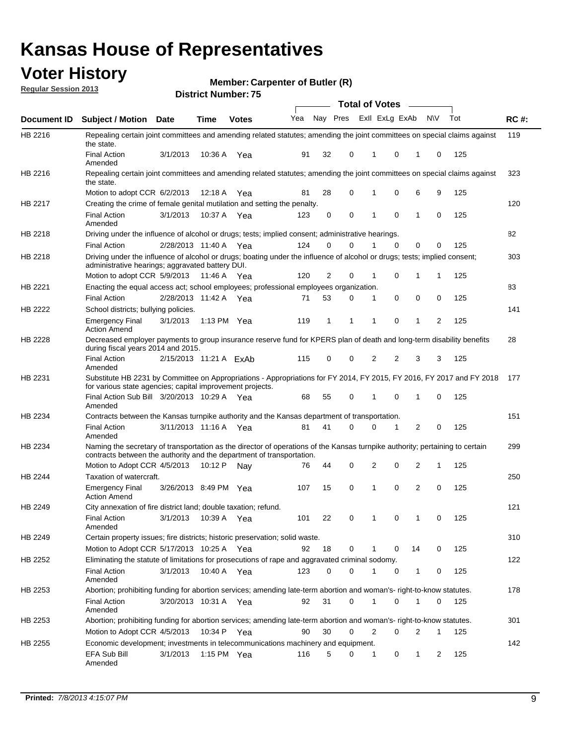## **Voter History**

**Member: Carpenter of Butler (R)** 

**Regular Session 2013**

|             |                                                                                                                                                                                                       |                        |               |              |     |          |          | <b>Total of Votes</b> |          | $\overline{\phantom{a}}$ |           |     |             |
|-------------|-------------------------------------------------------------------------------------------------------------------------------------------------------------------------------------------------------|------------------------|---------------|--------------|-----|----------|----------|-----------------------|----------|--------------------------|-----------|-----|-------------|
| Document ID | Subject / Motion Date                                                                                                                                                                                 |                        | <b>Time</b>   | <b>Votes</b> | Yea | Nay Pres |          | Exll ExLg ExAb        |          |                          | <b>NV</b> | Tot | <b>RC#:</b> |
| HB 2216     | Repealing certain joint committees and amending related statutes; amending the joint committees on special claims against<br>the state.                                                               |                        |               |              |     |          |          |                       |          |                          |           |     | 119         |
|             | <b>Final Action</b><br>Amended                                                                                                                                                                        | 3/1/2013               | 10:36 A       | Yea          | 91  | 32       | 0        | 1                     | 0        | 1                        | 0         | 125 |             |
| HB 2216     | Repealing certain joint committees and amending related statutes; amending the joint committees on special claims against<br>the state.                                                               |                        |               |              |     |          |          |                       |          |                          |           |     | 323         |
|             | Motion to adopt CCR 6/2/2013                                                                                                                                                                          |                        | 12:18 A       | Yea          | 81  | 28       | 0        | 1                     | 0        | 6                        | 9         | 125 |             |
| HB 2217     | Creating the crime of female genital mutilation and setting the penalty.                                                                                                                              |                        |               |              |     |          |          |                       |          |                          |           |     | 120         |
|             | <b>Final Action</b><br>Amended                                                                                                                                                                        | 3/1/2013               | 10:37 A Yea   |              | 123 | 0        | 0        | 1                     | 0        | 1                        | 0         | 125 |             |
| HB 2218     | Driving under the influence of alcohol or drugs; tests; implied consent; administrative hearings.                                                                                                     |                        |               |              |     |          |          |                       |          |                          |           |     | 82          |
|             | <b>Final Action</b>                                                                                                                                                                                   | 2/28/2013 11:40 A Yea  |               |              | 124 | 0        | $\Omega$ |                       | $\Omega$ | 0                        | 0         | 125 |             |
| HB 2218     | Driving under the influence of alcohol or drugs; boating under the influence of alcohol or drugs; tests; implied consent;<br>administrative hearings; aggravated battery DUI.                         |                        |               |              |     |          |          |                       |          |                          |           |     | 303         |
|             | Motion to adopt CCR 5/9/2013                                                                                                                                                                          |                        | 11:46 A Yea   |              | 120 | 2        | 0        | 1                     | 0        | 1                        | 1         | 125 |             |
| HB 2221     | Enacting the equal access act; school employees; professional employees organization.                                                                                                                 |                        |               |              |     |          |          |                       |          |                          |           |     | 83          |
|             | <b>Final Action</b>                                                                                                                                                                                   | 2/28/2013 11:42 A Yea  |               |              | 71  | 53       | 0        | 1                     | 0        | 0                        | 0         | 125 |             |
| HB 2222     | School districts; bullying policies.<br>Emergency Final                                                                                                                                               | 3/1/2013               | 1:13 PM $Yea$ |              | 119 | 1        | 1        | 1                     | 0        | 1                        | 2         | 125 | 141         |
| HB 2228     | <b>Action Amend</b><br>Decreased employer payments to group insurance reserve fund for KPERS plan of death and long-term disability benefits<br>during fiscal years 2014 and 2015.                    |                        |               |              |     |          |          |                       |          |                          |           |     | 28          |
|             | <b>Final Action</b><br>Amended                                                                                                                                                                        | 2/15/2013 11:21 A ExAb |               |              | 115 | 0        | 0        | 2                     | 2        | 3                        | 3         | 125 |             |
| HB 2231     | Substitute HB 2231 by Committee on Appropriations - Appropriations for FY 2014, FY 2015, FY 2016, FY 2017 and FY 2018 177<br>for various state agencies; capital improvement projects.                |                        |               |              |     |          |          |                       |          |                          |           |     |             |
|             | Final Action Sub Bill 3/20/2013 10:29 A Yea<br>Amended                                                                                                                                                |                        |               |              | 68  | 55       | 0        | 1                     | 0        | 1                        | 0         | 125 |             |
| HB 2234     | Contracts between the Kansas turnpike authority and the Kansas department of transportation.                                                                                                          |                        |               |              |     |          |          |                       |          |                          |           |     | 151         |
|             | <b>Final Action</b><br>Amended                                                                                                                                                                        | 3/11/2013 11:16 A      |               | Yea          | 81  | 41       | 0        | 0                     | 1        | 2                        | 0         | 125 |             |
| HB 2234     | Naming the secretary of transportation as the director of operations of the Kansas turnpike authority; pertaining to certain<br>contracts between the authority and the department of transportation. |                        |               |              |     |          |          |                       |          |                          |           |     | 299         |
|             | Motion to Adopt CCR 4/5/2013                                                                                                                                                                          |                        | 10:12 P       | Nav          | 76  | 44       | 0        | 2                     | 0        | 2                        | 1         | 125 |             |
| HB 2244     | Taxation of watercraft.<br><b>Emergency Final</b>                                                                                                                                                     | 3/26/2013 8:49 PM Yea  |               |              | 107 | 15       | 0        | 1                     | 0        | 2                        | 0         | 125 | 250         |
|             | <b>Action Amend</b>                                                                                                                                                                                   |                        |               |              |     |          |          |                       |          |                          |           |     |             |
| HB 2249     | City annexation of fire district land; double taxation; refund.<br>Final Action                                                                                                                       | 3/1/2013 10:39 A Yea   |               |              | 101 | 22       | 0        | $\mathbf{1}$          | $\cap$   | $\mathbf{1}$             | $\Omega$  | 125 | 121         |
|             | Amended                                                                                                                                                                                               |                        |               |              |     |          |          |                       |          |                          |           |     |             |
| HB 2249     | Certain property issues; fire districts; historic preservation; solid waste.                                                                                                                          |                        |               |              |     |          |          |                       |          |                          |           |     | 310         |
|             | Motion to Adopt CCR 5/17/2013 10:25 A Yea                                                                                                                                                             |                        |               |              | 92  | 18       | 0        |                       | 0        | 14                       | 0         | 125 |             |
| HB 2252     | Eliminating the statute of limitations for prosecutions of rape and aggravated criminal sodomy.                                                                                                       |                        |               |              |     |          |          |                       |          |                          |           |     | 122         |
|             | <b>Final Action</b><br>Amended                                                                                                                                                                        | 3/1/2013               | 10:40 A Yea   |              | 123 | 0        | 0        |                       | 0        | 1                        | 0         | 125 |             |
| HB 2253     | Abortion; prohibiting funding for abortion services; amending late-term abortion and woman's- right-to-know statutes.                                                                                 |                        |               |              |     |          |          |                       |          |                          |           |     | 178         |
|             | <b>Final Action</b><br>Amended                                                                                                                                                                        | 3/20/2013 10:31 A Yea  |               |              | 92  | 31       | 0        | 1                     | 0        | 1                        | 0         | 125 |             |
| HB 2253     | Abortion; prohibiting funding for abortion services; amending late-term abortion and woman's- right-to-know statutes.                                                                                 |                        |               |              |     |          |          |                       |          |                          |           |     | 301         |
|             | Motion to Adopt CCR 4/5/2013                                                                                                                                                                          |                        | 10:34 P Yea   |              | 90  | 30       | 0        | 2                     | 0        | 2                        | 1         | 125 |             |
| HB 2255     | Economic development; investments in telecommunications machinery and equipment.                                                                                                                      |                        |               |              |     |          |          |                       |          |                          |           |     | 142         |
|             | EFA Sub Bill<br>Amended                                                                                                                                                                               | 3/1/2013               | 1:15 PM Yea   |              | 116 | 5        | 0        | -1                    | 0        | 1                        | 2         | 125 |             |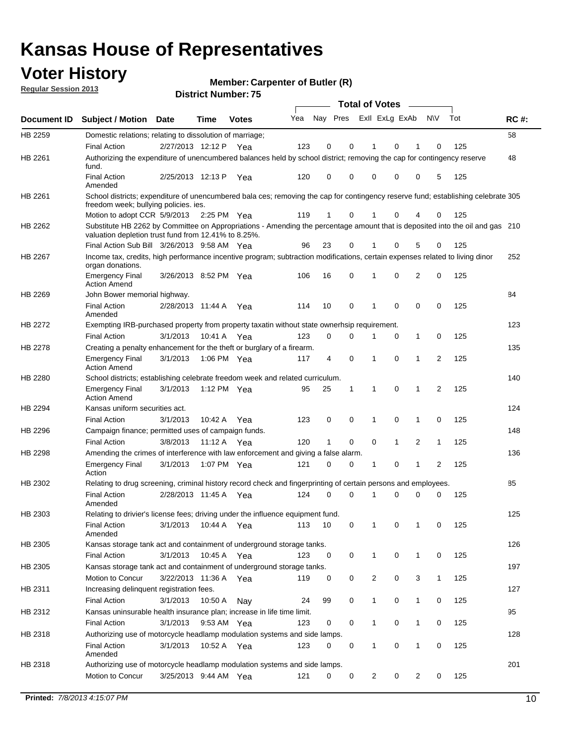## **Voter History**

**Member: Carpenter of Butler (R)** 

**Regular Session 2013**

|                    |                                                                                                                                                                                       |                       |             |              |     |                         |          | <b>Total of Votes</b> |   | $\overline{\phantom{a}}$ |                |     |     |
|--------------------|---------------------------------------------------------------------------------------------------------------------------------------------------------------------------------------|-----------------------|-------------|--------------|-----|-------------------------|----------|-----------------------|---|--------------------------|----------------|-----|-----|
| <b>Document ID</b> | <b>Subject / Motion Date</b>                                                                                                                                                          |                       | <b>Time</b> | <b>Votes</b> | Yea | Nay Pres Exll ExLg ExAb |          |                       |   |                          | <b>NV</b>      | Tot | RC# |
| HB 2259            | Domestic relations; relating to dissolution of marriage;                                                                                                                              |                       |             |              |     |                         |          |                       |   |                          |                |     | 58  |
|                    | <b>Final Action</b>                                                                                                                                                                   | 2/27/2013 12:12 P     |             | Yea          | 123 | 0                       | 0        | 1                     | 0 | 1                        | 0              | 125 |     |
| HB 2261            | Authorizing the expenditure of unencumbered balances held by school district; removing the cap for contingency reserve<br>fund.                                                       |                       |             |              |     |                         |          |                       |   |                          |                |     | 48  |
|                    | <b>Final Action</b><br>Amended                                                                                                                                                        | 2/25/2013 12:13 P     |             | Yea          | 120 | 0                       | 0        | 0                     | 0 | 0                        | 5              | 125 |     |
| HB 2261            | School districts; expenditure of unencumbered bala ces; removing the cap for contingency reserve fund; establishing celebrate 305<br>freedom week; bullying policies. ies.            |                       |             |              |     |                         |          |                       |   |                          |                |     |     |
|                    | Motion to adopt CCR 5/9/2013                                                                                                                                                          |                       | 2:25 PM Yea |              | 119 | 1                       | 0        | 1                     | 0 | 4                        | 0              | 125 |     |
| HB 2262            | Substitute HB 2262 by Committee on Appropriations - Amending the percentage amount that is deposited into the oil and gas 210<br>valuation depletion trust fund from 12.41% to 8.25%. |                       |             |              |     |                         |          |                       |   |                          |                |     |     |
|                    | Final Action Sub Bill 3/26/2013 9:58 AM Yea                                                                                                                                           |                       |             |              | 96  | 23                      | 0        |                       | 0 | 5                        | 0              | 125 |     |
| HB 2267            | Income tax, credits, high performance incentive program; subtraction modifications, certain expenses related to living dinor<br>organ donations.                                      |                       |             |              |     |                         |          |                       |   |                          |                |     | 252 |
|                    | <b>Emergency Final</b><br><b>Action Amend</b>                                                                                                                                         | 3/26/2013 8:52 PM Yea |             |              | 106 | 16                      | 0        | 1                     | 0 | 2                        | 0              | 125 |     |
| HB 2269            | John Bower memorial highway.                                                                                                                                                          |                       |             |              |     |                         |          |                       |   |                          |                |     | 84  |
|                    | <b>Final Action</b><br>Amended                                                                                                                                                        | 2/28/2013 11:44 A     |             | Yea          | 114 | 10                      | 0        | $\mathbf 1$           | 0 | 0                        | 0              | 125 |     |
| HB 2272            | Exempting IRB-purchased property from property taxatin without state ownerhsip requirement.                                                                                           |                       |             |              |     |                         |          |                       |   |                          |                |     | 123 |
|                    | <b>Final Action</b>                                                                                                                                                                   | 3/1/2013              | 10:41 A     | Yea          | 123 | 0                       | 0        | 1                     | 0 | $\mathbf{1}$             | 0              | 125 |     |
| HB 2278            | Creating a penalty enhancement for the theft or burglary of a firearm.                                                                                                                |                       |             |              |     |                         |          |                       |   |                          |                |     | 135 |
|                    | <b>Emergency Final</b><br><b>Action Amend</b>                                                                                                                                         | 3/1/2013              | 1:06 PM Yea |              | 117 | 4                       | 0        | 1                     | 0 | 1                        | $\overline{2}$ | 125 |     |
| HB 2280            | School districts; establishing celebrate freedom week and related curriculum.                                                                                                         |                       |             |              |     |                         |          |                       |   |                          |                |     | 140 |
|                    | <b>Emergency Final</b><br><b>Action Amend</b>                                                                                                                                         | 3/1/2013              | 1:12 PM Yea |              | 95  | 25                      | 1        | 1                     | 0 | 1                        | 2              | 125 |     |
| HB 2294            | Kansas uniform securities act.                                                                                                                                                        |                       |             |              |     |                         |          |                       |   |                          |                |     | 124 |
|                    | <b>Final Action</b>                                                                                                                                                                   | 3/1/2013              | 10:42 A     | Yea          | 123 | 0                       | 0        | 1                     | 0 | 1                        | 0              | 125 |     |
| HB 2296            | Campaign finance; permitted uses of campaign funds.                                                                                                                                   |                       |             |              |     |                         |          |                       |   |                          |                |     | 148 |
|                    | <b>Final Action</b>                                                                                                                                                                   | 3/8/2013              | 11:12 A Yea |              | 120 | 1                       | 0        | 0                     | 1 | 2                        | 1              | 125 |     |
| HB 2298            | Amending the crimes of interference with law enforcement and giving a false alarm.                                                                                                    |                       |             |              |     |                         |          |                       |   |                          |                |     | 136 |
|                    | <b>Emergency Final</b><br>Action                                                                                                                                                      | 3/1/2013              | 1:07 PM Yea |              | 121 | 0                       | 0        | 1                     | 0 | 1                        | 2              | 125 |     |
| HB 2302            | Relating to drug screening, criminal history record check and fingerprinting of certain persons and employees.                                                                        |                       |             |              |     |                         |          |                       |   |                          |                |     | 85  |
|                    | <b>Final Action</b><br>Amended                                                                                                                                                        | 2/28/2013 11:45 A     |             | Yea          | 124 | 0                       | $\Omega$ | 1                     | 0 | 0                        | 0              | 125 |     |
| HB 2303            | Relating to drivier's license fees; driving under the influence equipment fund.                                                                                                       |                       |             |              |     |                         |          |                       |   |                          |                |     | 125 |
|                    | <b>Final Action</b><br>Amended                                                                                                                                                        | 3/1/2013              | 10:44 A     | Yea          | 113 | 10                      | 0        |                       | 0 |                          | 0              | 125 |     |
| HB 2305            | Kansas storage tank act and containment of underground storage tanks.                                                                                                                 |                       |             |              |     |                         |          |                       |   |                          |                |     | 126 |
|                    | <b>Final Action</b>                                                                                                                                                                   | 3/1/2013              | 10:45 A     | Yea          | 123 | 0                       | 0        | 1                     | 0 | 1                        | 0              | 125 |     |
| HB 2305            | Kansas storage tank act and containment of underground storage tanks.                                                                                                                 |                       |             |              |     |                         |          |                       |   |                          |                |     | 197 |
|                    | Motion to Concur                                                                                                                                                                      | 3/22/2013 11:36 A     |             | Yea          | 119 | 0                       | 0        | 2                     | 0 | 3                        | $\mathbf{1}$   | 125 |     |
| HB 2311            | Increasing delinquent registration fees.                                                                                                                                              |                       |             |              |     |                         |          |                       |   |                          |                |     | 127 |
|                    | <b>Final Action</b>                                                                                                                                                                   | 3/1/2013              | 10:50 A     | Nay          | 24  | 99                      | 0        | 1                     | 0 | $\mathbf{1}$             | 0              | 125 |     |
| HB 2312            | Kansas uninsurable health insurance plan; increase in life time limit.                                                                                                                |                       |             |              |     |                         |          |                       |   |                          |                |     | 95  |
|                    | <b>Final Action</b>                                                                                                                                                                   | 3/1/2013              | 9:53 AM Yea |              | 123 | 0                       | 0        | 1                     | 0 | $\mathbf{1}$             | 0              | 125 |     |
| HB 2318            | Authorizing use of motorcycle headlamp modulation systems and side lamps.                                                                                                             |                       |             |              |     |                         |          |                       |   |                          |                |     | 128 |
|                    | <b>Final Action</b><br>Amended                                                                                                                                                        | 3/1/2013              | 10:52 A     | Yea          | 123 | 0                       | 0        | 1                     | 0 | 1                        | 0              | 125 |     |
| HB 2318            | Authorizing use of motorcycle headlamp modulation systems and side lamps.                                                                                                             |                       |             |              |     |                         |          |                       |   |                          |                |     | 201 |
|                    | Motion to Concur                                                                                                                                                                      | 3/25/2013 9:44 AM Yea |             |              | 121 | 0                       | 0        | 2                     | 0 | 2                        | 0              | 125 |     |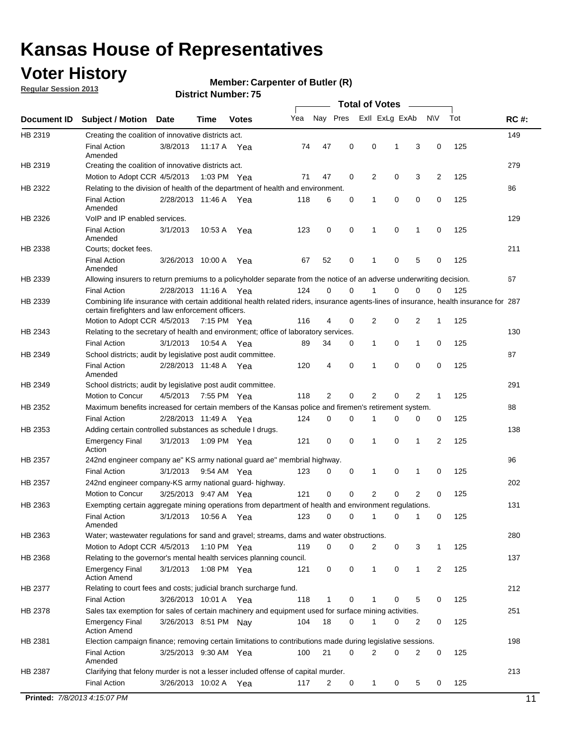## **Voter History**

**Regular Session 2013**

#### **Member: Carpenter of Butler (R)**

| Nay Pres<br>Exll ExLg ExAb<br>Tot<br>Yea<br><b>NV</b><br><b>RC#:</b><br><b>Subject / Motion</b><br>Date<br>Time<br><b>Votes</b><br>149<br>HB 2319<br>Creating the coalition of innovative districts act.<br>47<br>0<br>0<br>125<br><b>Final Action</b><br>3/8/2013<br>3<br>0<br>11:17 A<br>74<br>1<br>Yea<br>Amended<br>279<br>Creating the coalition of innovative districts act.<br>47<br>0<br>2<br>0<br>3<br>2<br>125<br>Motion to Adopt CCR 4/5/2013<br>1:03 PM Yea<br>71<br>Relating to the division of health of the department of health and environment.<br>86<br>0<br>0<br>0<br>125<br><b>Final Action</b><br>2/28/2013 11:46 A Yea<br>118<br>6<br>0<br>1<br>Amended<br>VoIP and IP enabled services.<br>129<br>$\mathbf 0$<br>$\mathbf 0$<br><b>Final Action</b><br>3/1/2013<br>123<br>0<br>1<br>$\mathbf 0$<br>125<br>10:53 A<br>1<br>Yea<br>Amended<br>211<br>Courts; docket fees.<br><b>Final Action</b><br>0<br>125<br>3/26/2013 10:00 A<br>52<br>$\mathbf 1$<br>0<br>5<br>0<br>Yea<br>67<br>Amended<br>67<br>Allowing insurers to return premiums to a policyholder separate from the notice of an adverse underwriting decision.<br>0<br>2/28/2013 11:16 A Yea<br>124<br>0<br>1<br>0<br>0<br>125<br><b>Final Action</b><br>0<br>Combining life insurance with certain additional health related riders, insurance agents-lines of insurance, health insurance for 287<br>certain firefighters and law enforcement officers.<br>2<br>0<br>125<br>Motion to Adopt CCR 4/5/2013 7:15 PM Yea<br>116<br>4<br>0<br>2<br>1<br>Relating to the secretary of health and environment; office of laboratory services.<br>130<br><b>Final Action</b><br>0<br>125<br>3/1/2013<br>10:54 A Yea<br>89<br>34<br>0<br>$\mathbf{1}$<br>1<br>0<br>87<br>HB 2349<br>School districts; audit by legislative post audit committee.<br>$\Omega$<br>4<br>0<br>$\Omega$<br>0<br>125<br><b>Final Action</b><br>2/28/2013 11:48 A Yea<br>120<br>1<br>Amended<br>291<br>HB 2349<br>School districts; audit by legislative post audit committee.<br>Motion to Concur<br>4/5/2013<br>7:55 PM Yea<br>118<br>2<br>0<br>2<br>0<br>2<br>125<br>1<br>HB 2352<br>Maximum benefits increased for certain members of the Kansas police and firemen's retirement system.<br>88<br><b>Final Action</b><br>0<br>125<br>2/28/2013 11:49 A<br>124<br>0<br>1<br>0<br>0<br>0<br>Yea<br>138<br>HB 2353<br>Adding certain controlled substances as schedule I drugs.<br>$\mathbf 0$<br>$\mathbf 0$<br>0<br>2<br>125<br><b>Emergency Final</b><br>3/1/2013<br>1:09 PM Yea<br>121<br>1<br>1<br>Action<br>96<br>HB 2357<br>242nd engineer company ae" KS army national guard ae" membrial highway.<br>3/1/2013<br>0<br>125<br><b>Final Action</b><br>9:54 AM Yea<br>123<br>0<br>0<br>1<br>0<br>1<br>202<br>HB 2357<br>242nd engineer company-KS army national guard- highway.<br>$\mathbf 0$<br>$\mathbf 0$<br>$\overline{2}$<br>$\mathbf 0$<br>$\overline{2}$<br>3/25/2013 9:47 AM Yea<br>121<br>0<br>125<br>Motion to Concur<br>131<br>HB 2363<br>Exempting certain aggregate mining operations from department of health and environment regulations.<br>3/1/2013<br>10:56 A<br>123<br>0<br>125<br><b>Final Action</b><br>0<br>1<br>0<br>1<br>0<br>Yea<br>Amended<br>HB 2363<br>Water; wastewater regulations for sand and gravel; streams, dams and water obstructions.<br>280<br>Motion to Adopt CCR 4/5/2013<br>119<br>0<br>0<br>2<br>3<br>125<br>1:10 PM $Yea$<br>0<br>1<br>HB 2368<br>Relating to the governor's mental health services planning council.<br>137<br>0<br>0<br><b>Emergency Final</b><br>3/1/2013<br>1:08 PM Yea<br>121<br>0<br>$\mathbf{1}$<br>1<br>2<br>125<br><b>Action Amend</b><br>HB 2377<br>Relating to court fees and costs; judicial branch surcharge fund.<br>212<br>3/26/2013 10:01 A Yea<br>118<br>0<br>125<br><b>Final Action</b><br>1<br>0<br>5<br>0<br>Sales tax exemption for sales of certain machinery and equipment used for surface mining activities.<br>251<br>HB 2378<br>104<br>18<br>0<br>0<br>125<br><b>Emergency Final</b><br>3/26/2013 8:51 PM Nay<br>1<br>0<br>2<br><b>Action Amend</b><br>198<br>Election campaign finance; removing certain limitations to contributions made during legislative sessions.<br><b>Final Action</b><br>21<br>$\overline{2}$<br>0<br>2<br>0<br>3/25/2013 9:30 AM Yea<br>100<br>0<br>125<br>Amended<br>213<br>HB 2387<br>Clarifying that felony murder is not a lesser included offense of capital murder.<br><b>Final Action</b><br>125<br>3/26/2013 10:02 A<br>117<br>2<br>0<br>1<br>0<br>5<br>0<br>Yea |             |  |  |  | <b>Total of Votes</b> |  |  |    |
|---------------------------------------------------------------------------------------------------------------------------------------------------------------------------------------------------------------------------------------------------------------------------------------------------------------------------------------------------------------------------------------------------------------------------------------------------------------------------------------------------------------------------------------------------------------------------------------------------------------------------------------------------------------------------------------------------------------------------------------------------------------------------------------------------------------------------------------------------------------------------------------------------------------------------------------------------------------------------------------------------------------------------------------------------------------------------------------------------------------------------------------------------------------------------------------------------------------------------------------------------------------------------------------------------------------------------------------------------------------------------------------------------------------------------------------------------------------------------------------------------------------------------------------------------------------------------------------------------------------------------------------------------------------------------------------------------------------------------------------------------------------------------------------------------------------------------------------------------------------------------------------------------------------------------------------------------------------------------------------------------------------------------------------------------------------------------------------------------------------------------------------------------------------------------------------------------------------------------------------------------------------------------------------------------------------------------------------------------------------------------------------------------------------------------------------------------------------------------------------------------------------------------------------------------------------------------------------------------------------------------------------------------------------------------------------------------------------------------------------------------------------------------------------------------------------------------------------------------------------------------------------------------------------------------------------------------------------------------------------------------------------------------------------------------------------------------------------------------------------------------------------------------------------------------------------------------------------------------------------------------------------------------------------------------------------------------------------------------------------------------------------------------------------------------------------------------------------------------------------------------------------------------------------------------------------------------------------------------------------------------------------------------------------------------------------------------------------------------------------------------------------------------------------------------------------------------------------------------------------------------------------------------------------------------------------------------------------------------------------------------------------------------------------------------------------------------------------------------------------------------------------------------------------------------------------------------------------------------------------------------------------------------------------------------------------------------------------------------------------------------------------------------------------------------------------------------------------------------------------------------------------------------------------------------------|-------------|--|--|--|-----------------------|--|--|----|
|                                                                                                                                                                                                                                                                                                                                                                                                                                                                                                                                                                                                                                                                                                                                                                                                                                                                                                                                                                                                                                                                                                                                                                                                                                                                                                                                                                                                                                                                                                                                                                                                                                                                                                                                                                                                                                                                                                                                                                                                                                                                                                                                                                                                                                                                                                                                                                                                                                                                                                                                                                                                                                                                                                                                                                                                                                                                                                                                                                                                                                                                                                                                                                                                                                                                                                                                                                                                                                                                                                                                                                                                                                                                                                                                                                                                                                                                                                                                                                                                                                                                                                                                                                                                                                                                                                                                                                                                                                                                                                                                                         | Document ID |  |  |  |                       |  |  |    |
|                                                                                                                                                                                                                                                                                                                                                                                                                                                                                                                                                                                                                                                                                                                                                                                                                                                                                                                                                                                                                                                                                                                                                                                                                                                                                                                                                                                                                                                                                                                                                                                                                                                                                                                                                                                                                                                                                                                                                                                                                                                                                                                                                                                                                                                                                                                                                                                                                                                                                                                                                                                                                                                                                                                                                                                                                                                                                                                                                                                                                                                                                                                                                                                                                                                                                                                                                                                                                                                                                                                                                                                                                                                                                                                                                                                                                                                                                                                                                                                                                                                                                                                                                                                                                                                                                                                                                                                                                                                                                                                                                         |             |  |  |  |                       |  |  |    |
|                                                                                                                                                                                                                                                                                                                                                                                                                                                                                                                                                                                                                                                                                                                                                                                                                                                                                                                                                                                                                                                                                                                                                                                                                                                                                                                                                                                                                                                                                                                                                                                                                                                                                                                                                                                                                                                                                                                                                                                                                                                                                                                                                                                                                                                                                                                                                                                                                                                                                                                                                                                                                                                                                                                                                                                                                                                                                                                                                                                                                                                                                                                                                                                                                                                                                                                                                                                                                                                                                                                                                                                                                                                                                                                                                                                                                                                                                                                                                                                                                                                                                                                                                                                                                                                                                                                                                                                                                                                                                                                                                         |             |  |  |  |                       |  |  |    |
|                                                                                                                                                                                                                                                                                                                                                                                                                                                                                                                                                                                                                                                                                                                                                                                                                                                                                                                                                                                                                                                                                                                                                                                                                                                                                                                                                                                                                                                                                                                                                                                                                                                                                                                                                                                                                                                                                                                                                                                                                                                                                                                                                                                                                                                                                                                                                                                                                                                                                                                                                                                                                                                                                                                                                                                                                                                                                                                                                                                                                                                                                                                                                                                                                                                                                                                                                                                                                                                                                                                                                                                                                                                                                                                                                                                                                                                                                                                                                                                                                                                                                                                                                                                                                                                                                                                                                                                                                                                                                                                                                         | HB 2319     |  |  |  |                       |  |  |    |
|                                                                                                                                                                                                                                                                                                                                                                                                                                                                                                                                                                                                                                                                                                                                                                                                                                                                                                                                                                                                                                                                                                                                                                                                                                                                                                                                                                                                                                                                                                                                                                                                                                                                                                                                                                                                                                                                                                                                                                                                                                                                                                                                                                                                                                                                                                                                                                                                                                                                                                                                                                                                                                                                                                                                                                                                                                                                                                                                                                                                                                                                                                                                                                                                                                                                                                                                                                                                                                                                                                                                                                                                                                                                                                                                                                                                                                                                                                                                                                                                                                                                                                                                                                                                                                                                                                                                                                                                                                                                                                                                                         | HB 2322     |  |  |  |                       |  |  |    |
|                                                                                                                                                                                                                                                                                                                                                                                                                                                                                                                                                                                                                                                                                                                                                                                                                                                                                                                                                                                                                                                                                                                                                                                                                                                                                                                                                                                                                                                                                                                                                                                                                                                                                                                                                                                                                                                                                                                                                                                                                                                                                                                                                                                                                                                                                                                                                                                                                                                                                                                                                                                                                                                                                                                                                                                                                                                                                                                                                                                                                                                                                                                                                                                                                                                                                                                                                                                                                                                                                                                                                                                                                                                                                                                                                                                                                                                                                                                                                                                                                                                                                                                                                                                                                                                                                                                                                                                                                                                                                                                                                         |             |  |  |  |                       |  |  |    |
|                                                                                                                                                                                                                                                                                                                                                                                                                                                                                                                                                                                                                                                                                                                                                                                                                                                                                                                                                                                                                                                                                                                                                                                                                                                                                                                                                                                                                                                                                                                                                                                                                                                                                                                                                                                                                                                                                                                                                                                                                                                                                                                                                                                                                                                                                                                                                                                                                                                                                                                                                                                                                                                                                                                                                                                                                                                                                                                                                                                                                                                                                                                                                                                                                                                                                                                                                                                                                                                                                                                                                                                                                                                                                                                                                                                                                                                                                                                                                                                                                                                                                                                                                                                                                                                                                                                                                                                                                                                                                                                                                         | HB 2326     |  |  |  |                       |  |  |    |
|                                                                                                                                                                                                                                                                                                                                                                                                                                                                                                                                                                                                                                                                                                                                                                                                                                                                                                                                                                                                                                                                                                                                                                                                                                                                                                                                                                                                                                                                                                                                                                                                                                                                                                                                                                                                                                                                                                                                                                                                                                                                                                                                                                                                                                                                                                                                                                                                                                                                                                                                                                                                                                                                                                                                                                                                                                                                                                                                                                                                                                                                                                                                                                                                                                                                                                                                                                                                                                                                                                                                                                                                                                                                                                                                                                                                                                                                                                                                                                                                                                                                                                                                                                                                                                                                                                                                                                                                                                                                                                                                                         |             |  |  |  |                       |  |  |    |
|                                                                                                                                                                                                                                                                                                                                                                                                                                                                                                                                                                                                                                                                                                                                                                                                                                                                                                                                                                                                                                                                                                                                                                                                                                                                                                                                                                                                                                                                                                                                                                                                                                                                                                                                                                                                                                                                                                                                                                                                                                                                                                                                                                                                                                                                                                                                                                                                                                                                                                                                                                                                                                                                                                                                                                                                                                                                                                                                                                                                                                                                                                                                                                                                                                                                                                                                                                                                                                                                                                                                                                                                                                                                                                                                                                                                                                                                                                                                                                                                                                                                                                                                                                                                                                                                                                                                                                                                                                                                                                                                                         | HB 2338     |  |  |  |                       |  |  |    |
|                                                                                                                                                                                                                                                                                                                                                                                                                                                                                                                                                                                                                                                                                                                                                                                                                                                                                                                                                                                                                                                                                                                                                                                                                                                                                                                                                                                                                                                                                                                                                                                                                                                                                                                                                                                                                                                                                                                                                                                                                                                                                                                                                                                                                                                                                                                                                                                                                                                                                                                                                                                                                                                                                                                                                                                                                                                                                                                                                                                                                                                                                                                                                                                                                                                                                                                                                                                                                                                                                                                                                                                                                                                                                                                                                                                                                                                                                                                                                                                                                                                                                                                                                                                                                                                                                                                                                                                                                                                                                                                                                         |             |  |  |  |                       |  |  |    |
|                                                                                                                                                                                                                                                                                                                                                                                                                                                                                                                                                                                                                                                                                                                                                                                                                                                                                                                                                                                                                                                                                                                                                                                                                                                                                                                                                                                                                                                                                                                                                                                                                                                                                                                                                                                                                                                                                                                                                                                                                                                                                                                                                                                                                                                                                                                                                                                                                                                                                                                                                                                                                                                                                                                                                                                                                                                                                                                                                                                                                                                                                                                                                                                                                                                                                                                                                                                                                                                                                                                                                                                                                                                                                                                                                                                                                                                                                                                                                                                                                                                                                                                                                                                                                                                                                                                                                                                                                                                                                                                                                         | HB 2339     |  |  |  |                       |  |  |    |
|                                                                                                                                                                                                                                                                                                                                                                                                                                                                                                                                                                                                                                                                                                                                                                                                                                                                                                                                                                                                                                                                                                                                                                                                                                                                                                                                                                                                                                                                                                                                                                                                                                                                                                                                                                                                                                                                                                                                                                                                                                                                                                                                                                                                                                                                                                                                                                                                                                                                                                                                                                                                                                                                                                                                                                                                                                                                                                                                                                                                                                                                                                                                                                                                                                                                                                                                                                                                                                                                                                                                                                                                                                                                                                                                                                                                                                                                                                                                                                                                                                                                                                                                                                                                                                                                                                                                                                                                                                                                                                                                                         |             |  |  |  |                       |  |  |    |
|                                                                                                                                                                                                                                                                                                                                                                                                                                                                                                                                                                                                                                                                                                                                                                                                                                                                                                                                                                                                                                                                                                                                                                                                                                                                                                                                                                                                                                                                                                                                                                                                                                                                                                                                                                                                                                                                                                                                                                                                                                                                                                                                                                                                                                                                                                                                                                                                                                                                                                                                                                                                                                                                                                                                                                                                                                                                                                                                                                                                                                                                                                                                                                                                                                                                                                                                                                                                                                                                                                                                                                                                                                                                                                                                                                                                                                                                                                                                                                                                                                                                                                                                                                                                                                                                                                                                                                                                                                                                                                                                                         | HB 2339     |  |  |  |                       |  |  |    |
|                                                                                                                                                                                                                                                                                                                                                                                                                                                                                                                                                                                                                                                                                                                                                                                                                                                                                                                                                                                                                                                                                                                                                                                                                                                                                                                                                                                                                                                                                                                                                                                                                                                                                                                                                                                                                                                                                                                                                                                                                                                                                                                                                                                                                                                                                                                                                                                                                                                                                                                                                                                                                                                                                                                                                                                                                                                                                                                                                                                                                                                                                                                                                                                                                                                                                                                                                                                                                                                                                                                                                                                                                                                                                                                                                                                                                                                                                                                                                                                                                                                                                                                                                                                                                                                                                                                                                                                                                                                                                                                                                         |             |  |  |  |                       |  |  |    |
|                                                                                                                                                                                                                                                                                                                                                                                                                                                                                                                                                                                                                                                                                                                                                                                                                                                                                                                                                                                                                                                                                                                                                                                                                                                                                                                                                                                                                                                                                                                                                                                                                                                                                                                                                                                                                                                                                                                                                                                                                                                                                                                                                                                                                                                                                                                                                                                                                                                                                                                                                                                                                                                                                                                                                                                                                                                                                                                                                                                                                                                                                                                                                                                                                                                                                                                                                                                                                                                                                                                                                                                                                                                                                                                                                                                                                                                                                                                                                                                                                                                                                                                                                                                                                                                                                                                                                                                                                                                                                                                                                         | HB 2343     |  |  |  |                       |  |  |    |
|                                                                                                                                                                                                                                                                                                                                                                                                                                                                                                                                                                                                                                                                                                                                                                                                                                                                                                                                                                                                                                                                                                                                                                                                                                                                                                                                                                                                                                                                                                                                                                                                                                                                                                                                                                                                                                                                                                                                                                                                                                                                                                                                                                                                                                                                                                                                                                                                                                                                                                                                                                                                                                                                                                                                                                                                                                                                                                                                                                                                                                                                                                                                                                                                                                                                                                                                                                                                                                                                                                                                                                                                                                                                                                                                                                                                                                                                                                                                                                                                                                                                                                                                                                                                                                                                                                                                                                                                                                                                                                                                                         |             |  |  |  |                       |  |  |    |
|                                                                                                                                                                                                                                                                                                                                                                                                                                                                                                                                                                                                                                                                                                                                                                                                                                                                                                                                                                                                                                                                                                                                                                                                                                                                                                                                                                                                                                                                                                                                                                                                                                                                                                                                                                                                                                                                                                                                                                                                                                                                                                                                                                                                                                                                                                                                                                                                                                                                                                                                                                                                                                                                                                                                                                                                                                                                                                                                                                                                                                                                                                                                                                                                                                                                                                                                                                                                                                                                                                                                                                                                                                                                                                                                                                                                                                                                                                                                                                                                                                                                                                                                                                                                                                                                                                                                                                                                                                                                                                                                                         |             |  |  |  |                       |  |  |    |
|                                                                                                                                                                                                                                                                                                                                                                                                                                                                                                                                                                                                                                                                                                                                                                                                                                                                                                                                                                                                                                                                                                                                                                                                                                                                                                                                                                                                                                                                                                                                                                                                                                                                                                                                                                                                                                                                                                                                                                                                                                                                                                                                                                                                                                                                                                                                                                                                                                                                                                                                                                                                                                                                                                                                                                                                                                                                                                                                                                                                                                                                                                                                                                                                                                                                                                                                                                                                                                                                                                                                                                                                                                                                                                                                                                                                                                                                                                                                                                                                                                                                                                                                                                                                                                                                                                                                                                                                                                                                                                                                                         |             |  |  |  |                       |  |  |    |
|                                                                                                                                                                                                                                                                                                                                                                                                                                                                                                                                                                                                                                                                                                                                                                                                                                                                                                                                                                                                                                                                                                                                                                                                                                                                                                                                                                                                                                                                                                                                                                                                                                                                                                                                                                                                                                                                                                                                                                                                                                                                                                                                                                                                                                                                                                                                                                                                                                                                                                                                                                                                                                                                                                                                                                                                                                                                                                                                                                                                                                                                                                                                                                                                                                                                                                                                                                                                                                                                                                                                                                                                                                                                                                                                                                                                                                                                                                                                                                                                                                                                                                                                                                                                                                                                                                                                                                                                                                                                                                                                                         |             |  |  |  |                       |  |  |    |
|                                                                                                                                                                                                                                                                                                                                                                                                                                                                                                                                                                                                                                                                                                                                                                                                                                                                                                                                                                                                                                                                                                                                                                                                                                                                                                                                                                                                                                                                                                                                                                                                                                                                                                                                                                                                                                                                                                                                                                                                                                                                                                                                                                                                                                                                                                                                                                                                                                                                                                                                                                                                                                                                                                                                                                                                                                                                                                                                                                                                                                                                                                                                                                                                                                                                                                                                                                                                                                                                                                                                                                                                                                                                                                                                                                                                                                                                                                                                                                                                                                                                                                                                                                                                                                                                                                                                                                                                                                                                                                                                                         |             |  |  |  |                       |  |  |    |
|                                                                                                                                                                                                                                                                                                                                                                                                                                                                                                                                                                                                                                                                                                                                                                                                                                                                                                                                                                                                                                                                                                                                                                                                                                                                                                                                                                                                                                                                                                                                                                                                                                                                                                                                                                                                                                                                                                                                                                                                                                                                                                                                                                                                                                                                                                                                                                                                                                                                                                                                                                                                                                                                                                                                                                                                                                                                                                                                                                                                                                                                                                                                                                                                                                                                                                                                                                                                                                                                                                                                                                                                                                                                                                                                                                                                                                                                                                                                                                                                                                                                                                                                                                                                                                                                                                                                                                                                                                                                                                                                                         |             |  |  |  |                       |  |  |    |
|                                                                                                                                                                                                                                                                                                                                                                                                                                                                                                                                                                                                                                                                                                                                                                                                                                                                                                                                                                                                                                                                                                                                                                                                                                                                                                                                                                                                                                                                                                                                                                                                                                                                                                                                                                                                                                                                                                                                                                                                                                                                                                                                                                                                                                                                                                                                                                                                                                                                                                                                                                                                                                                                                                                                                                                                                                                                                                                                                                                                                                                                                                                                                                                                                                                                                                                                                                                                                                                                                                                                                                                                                                                                                                                                                                                                                                                                                                                                                                                                                                                                                                                                                                                                                                                                                                                                                                                                                                                                                                                                                         |             |  |  |  |                       |  |  |    |
|                                                                                                                                                                                                                                                                                                                                                                                                                                                                                                                                                                                                                                                                                                                                                                                                                                                                                                                                                                                                                                                                                                                                                                                                                                                                                                                                                                                                                                                                                                                                                                                                                                                                                                                                                                                                                                                                                                                                                                                                                                                                                                                                                                                                                                                                                                                                                                                                                                                                                                                                                                                                                                                                                                                                                                                                                                                                                                                                                                                                                                                                                                                                                                                                                                                                                                                                                                                                                                                                                                                                                                                                                                                                                                                                                                                                                                                                                                                                                                                                                                                                                                                                                                                                                                                                                                                                                                                                                                                                                                                                                         |             |  |  |  |                       |  |  |    |
|                                                                                                                                                                                                                                                                                                                                                                                                                                                                                                                                                                                                                                                                                                                                                                                                                                                                                                                                                                                                                                                                                                                                                                                                                                                                                                                                                                                                                                                                                                                                                                                                                                                                                                                                                                                                                                                                                                                                                                                                                                                                                                                                                                                                                                                                                                                                                                                                                                                                                                                                                                                                                                                                                                                                                                                                                                                                                                                                                                                                                                                                                                                                                                                                                                                                                                                                                                                                                                                                                                                                                                                                                                                                                                                                                                                                                                                                                                                                                                                                                                                                                                                                                                                                                                                                                                                                                                                                                                                                                                                                                         |             |  |  |  |                       |  |  |    |
|                                                                                                                                                                                                                                                                                                                                                                                                                                                                                                                                                                                                                                                                                                                                                                                                                                                                                                                                                                                                                                                                                                                                                                                                                                                                                                                                                                                                                                                                                                                                                                                                                                                                                                                                                                                                                                                                                                                                                                                                                                                                                                                                                                                                                                                                                                                                                                                                                                                                                                                                                                                                                                                                                                                                                                                                                                                                                                                                                                                                                                                                                                                                                                                                                                                                                                                                                                                                                                                                                                                                                                                                                                                                                                                                                                                                                                                                                                                                                                                                                                                                                                                                                                                                                                                                                                                                                                                                                                                                                                                                                         |             |  |  |  |                       |  |  |    |
|                                                                                                                                                                                                                                                                                                                                                                                                                                                                                                                                                                                                                                                                                                                                                                                                                                                                                                                                                                                                                                                                                                                                                                                                                                                                                                                                                                                                                                                                                                                                                                                                                                                                                                                                                                                                                                                                                                                                                                                                                                                                                                                                                                                                                                                                                                                                                                                                                                                                                                                                                                                                                                                                                                                                                                                                                                                                                                                                                                                                                                                                                                                                                                                                                                                                                                                                                                                                                                                                                                                                                                                                                                                                                                                                                                                                                                                                                                                                                                                                                                                                                                                                                                                                                                                                                                                                                                                                                                                                                                                                                         |             |  |  |  |                       |  |  |    |
|                                                                                                                                                                                                                                                                                                                                                                                                                                                                                                                                                                                                                                                                                                                                                                                                                                                                                                                                                                                                                                                                                                                                                                                                                                                                                                                                                                                                                                                                                                                                                                                                                                                                                                                                                                                                                                                                                                                                                                                                                                                                                                                                                                                                                                                                                                                                                                                                                                                                                                                                                                                                                                                                                                                                                                                                                                                                                                                                                                                                                                                                                                                                                                                                                                                                                                                                                                                                                                                                                                                                                                                                                                                                                                                                                                                                                                                                                                                                                                                                                                                                                                                                                                                                                                                                                                                                                                                                                                                                                                                                                         |             |  |  |  |                       |  |  |    |
|                                                                                                                                                                                                                                                                                                                                                                                                                                                                                                                                                                                                                                                                                                                                                                                                                                                                                                                                                                                                                                                                                                                                                                                                                                                                                                                                                                                                                                                                                                                                                                                                                                                                                                                                                                                                                                                                                                                                                                                                                                                                                                                                                                                                                                                                                                                                                                                                                                                                                                                                                                                                                                                                                                                                                                                                                                                                                                                                                                                                                                                                                                                                                                                                                                                                                                                                                                                                                                                                                                                                                                                                                                                                                                                                                                                                                                                                                                                                                                                                                                                                                                                                                                                                                                                                                                                                                                                                                                                                                                                                                         |             |  |  |  |                       |  |  |    |
|                                                                                                                                                                                                                                                                                                                                                                                                                                                                                                                                                                                                                                                                                                                                                                                                                                                                                                                                                                                                                                                                                                                                                                                                                                                                                                                                                                                                                                                                                                                                                                                                                                                                                                                                                                                                                                                                                                                                                                                                                                                                                                                                                                                                                                                                                                                                                                                                                                                                                                                                                                                                                                                                                                                                                                                                                                                                                                                                                                                                                                                                                                                                                                                                                                                                                                                                                                                                                                                                                                                                                                                                                                                                                                                                                                                                                                                                                                                                                                                                                                                                                                                                                                                                                                                                                                                                                                                                                                                                                                                                                         |             |  |  |  |                       |  |  |    |
|                                                                                                                                                                                                                                                                                                                                                                                                                                                                                                                                                                                                                                                                                                                                                                                                                                                                                                                                                                                                                                                                                                                                                                                                                                                                                                                                                                                                                                                                                                                                                                                                                                                                                                                                                                                                                                                                                                                                                                                                                                                                                                                                                                                                                                                                                                                                                                                                                                                                                                                                                                                                                                                                                                                                                                                                                                                                                                                                                                                                                                                                                                                                                                                                                                                                                                                                                                                                                                                                                                                                                                                                                                                                                                                                                                                                                                                                                                                                                                                                                                                                                                                                                                                                                                                                                                                                                                                                                                                                                                                                                         |             |  |  |  |                       |  |  |    |
|                                                                                                                                                                                                                                                                                                                                                                                                                                                                                                                                                                                                                                                                                                                                                                                                                                                                                                                                                                                                                                                                                                                                                                                                                                                                                                                                                                                                                                                                                                                                                                                                                                                                                                                                                                                                                                                                                                                                                                                                                                                                                                                                                                                                                                                                                                                                                                                                                                                                                                                                                                                                                                                                                                                                                                                                                                                                                                                                                                                                                                                                                                                                                                                                                                                                                                                                                                                                                                                                                                                                                                                                                                                                                                                                                                                                                                                                                                                                                                                                                                                                                                                                                                                                                                                                                                                                                                                                                                                                                                                                                         |             |  |  |  |                       |  |  |    |
|                                                                                                                                                                                                                                                                                                                                                                                                                                                                                                                                                                                                                                                                                                                                                                                                                                                                                                                                                                                                                                                                                                                                                                                                                                                                                                                                                                                                                                                                                                                                                                                                                                                                                                                                                                                                                                                                                                                                                                                                                                                                                                                                                                                                                                                                                                                                                                                                                                                                                                                                                                                                                                                                                                                                                                                                                                                                                                                                                                                                                                                                                                                                                                                                                                                                                                                                                                                                                                                                                                                                                                                                                                                                                                                                                                                                                                                                                                                                                                                                                                                                                                                                                                                                                                                                                                                                                                                                                                                                                                                                                         |             |  |  |  |                       |  |  |    |
|                                                                                                                                                                                                                                                                                                                                                                                                                                                                                                                                                                                                                                                                                                                                                                                                                                                                                                                                                                                                                                                                                                                                                                                                                                                                                                                                                                                                                                                                                                                                                                                                                                                                                                                                                                                                                                                                                                                                                                                                                                                                                                                                                                                                                                                                                                                                                                                                                                                                                                                                                                                                                                                                                                                                                                                                                                                                                                                                                                                                                                                                                                                                                                                                                                                                                                                                                                                                                                                                                                                                                                                                                                                                                                                                                                                                                                                                                                                                                                                                                                                                                                                                                                                                                                                                                                                                                                                                                                                                                                                                                         |             |  |  |  |                       |  |  |    |
|                                                                                                                                                                                                                                                                                                                                                                                                                                                                                                                                                                                                                                                                                                                                                                                                                                                                                                                                                                                                                                                                                                                                                                                                                                                                                                                                                                                                                                                                                                                                                                                                                                                                                                                                                                                                                                                                                                                                                                                                                                                                                                                                                                                                                                                                                                                                                                                                                                                                                                                                                                                                                                                                                                                                                                                                                                                                                                                                                                                                                                                                                                                                                                                                                                                                                                                                                                                                                                                                                                                                                                                                                                                                                                                                                                                                                                                                                                                                                                                                                                                                                                                                                                                                                                                                                                                                                                                                                                                                                                                                                         |             |  |  |  |                       |  |  |    |
|                                                                                                                                                                                                                                                                                                                                                                                                                                                                                                                                                                                                                                                                                                                                                                                                                                                                                                                                                                                                                                                                                                                                                                                                                                                                                                                                                                                                                                                                                                                                                                                                                                                                                                                                                                                                                                                                                                                                                                                                                                                                                                                                                                                                                                                                                                                                                                                                                                                                                                                                                                                                                                                                                                                                                                                                                                                                                                                                                                                                                                                                                                                                                                                                                                                                                                                                                                                                                                                                                                                                                                                                                                                                                                                                                                                                                                                                                                                                                                                                                                                                                                                                                                                                                                                                                                                                                                                                                                                                                                                                                         |             |  |  |  |                       |  |  |    |
|                                                                                                                                                                                                                                                                                                                                                                                                                                                                                                                                                                                                                                                                                                                                                                                                                                                                                                                                                                                                                                                                                                                                                                                                                                                                                                                                                                                                                                                                                                                                                                                                                                                                                                                                                                                                                                                                                                                                                                                                                                                                                                                                                                                                                                                                                                                                                                                                                                                                                                                                                                                                                                                                                                                                                                                                                                                                                                                                                                                                                                                                                                                                                                                                                                                                                                                                                                                                                                                                                                                                                                                                                                                                                                                                                                                                                                                                                                                                                                                                                                                                                                                                                                                                                                                                                                                                                                                                                                                                                                                                                         |             |  |  |  |                       |  |  |    |
|                                                                                                                                                                                                                                                                                                                                                                                                                                                                                                                                                                                                                                                                                                                                                                                                                                                                                                                                                                                                                                                                                                                                                                                                                                                                                                                                                                                                                                                                                                                                                                                                                                                                                                                                                                                                                                                                                                                                                                                                                                                                                                                                                                                                                                                                                                                                                                                                                                                                                                                                                                                                                                                                                                                                                                                                                                                                                                                                                                                                                                                                                                                                                                                                                                                                                                                                                                                                                                                                                                                                                                                                                                                                                                                                                                                                                                                                                                                                                                                                                                                                                                                                                                                                                                                                                                                                                                                                                                                                                                                                                         |             |  |  |  |                       |  |  |    |
|                                                                                                                                                                                                                                                                                                                                                                                                                                                                                                                                                                                                                                                                                                                                                                                                                                                                                                                                                                                                                                                                                                                                                                                                                                                                                                                                                                                                                                                                                                                                                                                                                                                                                                                                                                                                                                                                                                                                                                                                                                                                                                                                                                                                                                                                                                                                                                                                                                                                                                                                                                                                                                                                                                                                                                                                                                                                                                                                                                                                                                                                                                                                                                                                                                                                                                                                                                                                                                                                                                                                                                                                                                                                                                                                                                                                                                                                                                                                                                                                                                                                                                                                                                                                                                                                                                                                                                                                                                                                                                                                                         | HB 2381     |  |  |  |                       |  |  |    |
|                                                                                                                                                                                                                                                                                                                                                                                                                                                                                                                                                                                                                                                                                                                                                                                                                                                                                                                                                                                                                                                                                                                                                                                                                                                                                                                                                                                                                                                                                                                                                                                                                                                                                                                                                                                                                                                                                                                                                                                                                                                                                                                                                                                                                                                                                                                                                                                                                                                                                                                                                                                                                                                                                                                                                                                                                                                                                                                                                                                                                                                                                                                                                                                                                                                                                                                                                                                                                                                                                                                                                                                                                                                                                                                                                                                                                                                                                                                                                                                                                                                                                                                                                                                                                                                                                                                                                                                                                                                                                                                                                         |             |  |  |  |                       |  |  |    |
|                                                                                                                                                                                                                                                                                                                                                                                                                                                                                                                                                                                                                                                                                                                                                                                                                                                                                                                                                                                                                                                                                                                                                                                                                                                                                                                                                                                                                                                                                                                                                                                                                                                                                                                                                                                                                                                                                                                                                                                                                                                                                                                                                                                                                                                                                                                                                                                                                                                                                                                                                                                                                                                                                                                                                                                                                                                                                                                                                                                                                                                                                                                                                                                                                                                                                                                                                                                                                                                                                                                                                                                                                                                                                                                                                                                                                                                                                                                                                                                                                                                                                                                                                                                                                                                                                                                                                                                                                                                                                                                                                         |             |  |  |  |                       |  |  |    |
|                                                                                                                                                                                                                                                                                                                                                                                                                                                                                                                                                                                                                                                                                                                                                                                                                                                                                                                                                                                                                                                                                                                                                                                                                                                                                                                                                                                                                                                                                                                                                                                                                                                                                                                                                                                                                                                                                                                                                                                                                                                                                                                                                                                                                                                                                                                                                                                                                                                                                                                                                                                                                                                                                                                                                                                                                                                                                                                                                                                                                                                                                                                                                                                                                                                                                                                                                                                                                                                                                                                                                                                                                                                                                                                                                                                                                                                                                                                                                                                                                                                                                                                                                                                                                                                                                                                                                                                                                                                                                                                                                         |             |  |  |  |                       |  |  |    |
| Printed: 7/8/2013 4:15:07 PM                                                                                                                                                                                                                                                                                                                                                                                                                                                                                                                                                                                                                                                                                                                                                                                                                                                                                                                                                                                                                                                                                                                                                                                                                                                                                                                                                                                                                                                                                                                                                                                                                                                                                                                                                                                                                                                                                                                                                                                                                                                                                                                                                                                                                                                                                                                                                                                                                                                                                                                                                                                                                                                                                                                                                                                                                                                                                                                                                                                                                                                                                                                                                                                                                                                                                                                                                                                                                                                                                                                                                                                                                                                                                                                                                                                                                                                                                                                                                                                                                                                                                                                                                                                                                                                                                                                                                                                                                                                                                                                            |             |  |  |  |                       |  |  | 11 |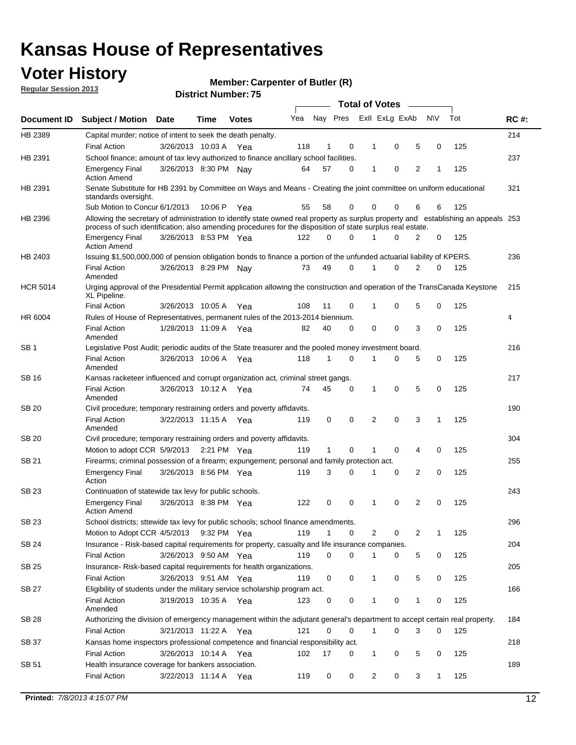## **Voter History**

**Member: Carpenter of Butler (R)** 

**Regular Session 2013**

|                 |                                                                                                                                                                                                                                                  |                       |         | ט ו . וסעווואר ועוווסו |     |              |              |                | <b>Total of Votes</b>   |                |              |     |             |
|-----------------|--------------------------------------------------------------------------------------------------------------------------------------------------------------------------------------------------------------------------------------------------|-----------------------|---------|------------------------|-----|--------------|--------------|----------------|-------------------------|----------------|--------------|-----|-------------|
| Document ID     | <b>Subject / Motion Date</b>                                                                                                                                                                                                                     |                       | Time    | <b>Votes</b>           | Yea |              |              |                | Nay Pres Exll ExLg ExAb |                | <b>NV</b>    | Tot | <b>RC#:</b> |
| HB 2389         | Capital murder; notice of intent to seek the death penalty.<br><b>Final Action</b>                                                                                                                                                               | 3/26/2013 10:03 A     |         |                        | 118 | 1            | 0            | 1              | 0                       | 5              | 0            | 125 | 214         |
| HB 2391         | School finance; amount of tax levy authorized to finance ancillary school facilities.                                                                                                                                                            |                       |         | Yea                    |     |              |              |                |                         |                |              |     | 237         |
|                 |                                                                                                                                                                                                                                                  | 3/26/2013 8:30 PM Nay |         |                        | 64  | 57           | 0            | $\mathbf 1$    | 0                       | 2              | 1            | 125 |             |
|                 | <b>Emergency Final</b><br><b>Action Amend</b>                                                                                                                                                                                                    |                       |         |                        |     |              |              |                |                         |                |              |     |             |
| HB 2391         | Senate Substitute for HB 2391 by Committee on Ways and Means - Creating the joint committee on uniform educational<br>standards oversight.                                                                                                       |                       |         |                        |     |              |              |                |                         |                |              |     | 321         |
|                 | Sub Motion to Concur 6/1/2013                                                                                                                                                                                                                    |                       | 10:06 P | Yea                    | 55  | 58           | 0            | 0              | 0                       | 6              | 6            | 125 |             |
| HB 2396         | Allowing the secretary of administration to identify state owned real property as surplus property and establishing an appeals 253<br>process of such identification; also amending procedures for the disposition of state surplus real estate. |                       |         |                        |     |              |              |                |                         |                |              |     |             |
|                 | <b>Emergency Final</b><br><b>Action Amend</b>                                                                                                                                                                                                    | 3/26/2013 8:53 PM Yea |         |                        | 122 | 0            | <sup>0</sup> |                | O                       | 2              | 0            | 125 |             |
| HB 2403         | Issuing \$1,500,000,000 of pension obligation bonds to finance a portion of the unfunded actuarial liability of KPERS.                                                                                                                           |                       |         |                        |     |              |              |                |                         |                |              |     | 236         |
|                 | <b>Final Action</b><br>Amended                                                                                                                                                                                                                   | 3/26/2013 8:29 PM     |         | Nav                    | 73  | 49           | 0            | 1              | 0                       | $\overline{2}$ | 0            | 125 |             |
| <b>HCR 5014</b> | Urging approval of the Presidential Permit application allowing the construction and operation of the TransCanada Keystone<br>XL Pipeline.                                                                                                       |                       |         |                        |     |              |              |                |                         |                |              |     | 215         |
|                 | <b>Final Action</b>                                                                                                                                                                                                                              | 3/26/2013 10:05 A     |         | Yea                    | 108 | 11           | 0            | 1              | 0                       | 5              | 0            | 125 |             |
| HR 6004         | Rules of House of Representatives, permanent rules of the 2013-2014 biennium.                                                                                                                                                                    |                       |         |                        |     |              |              |                |                         |                |              |     | 4           |
|                 | <b>Final Action</b><br>Amended                                                                                                                                                                                                                   | 1/28/2013 11:09 A Yea |         |                        | 82  | 40           | 0            | 0              | 0                       | 3              | 0            | 125 |             |
| SB <sub>1</sub> | Legislative Post Audit; periodic audits of the State treasurer and the pooled money investment board.                                                                                                                                            |                       |         |                        |     |              |              |                |                         |                |              |     | 216         |
|                 | <b>Final Action</b><br>Amended                                                                                                                                                                                                                   | 3/26/2013 10:06 A     |         | Yea                    | 118 | 1            | $\Omega$     | 1              | 0                       | 5              | 0            | 125 |             |
| SB 16           | Kansas racketeer influenced and corrupt organization act, criminal street gangs.                                                                                                                                                                 |                       |         |                        |     |              |              |                |                         |                |              |     | 217         |
|                 | <b>Final Action</b><br>Amended                                                                                                                                                                                                                   | 3/26/2013 10:12 A Yea |         |                        | 74  | 45           | 0            | 1              | 0                       | 5              | 0            | 125 |             |
| <b>SB 20</b>    | Civil procedure; temporary restraining orders and poverty affidavits.                                                                                                                                                                            |                       |         |                        |     |              |              |                |                         |                |              |     | 190         |
|                 | <b>Final Action</b><br>Amended                                                                                                                                                                                                                   | 3/22/2013 11:15 A Yea |         |                        | 119 | 0            | 0            | $\overline{2}$ | 0                       | 3              | $\mathbf{1}$ | 125 |             |
| SB 20           | Civil procedure; temporary restraining orders and poverty affidavits.                                                                                                                                                                            |                       |         |                        |     |              |              |                |                         |                |              |     | 304         |
|                 | Motion to adopt CCR 5/9/2013                                                                                                                                                                                                                     |                       |         | 2:21 PM $Yea$          | 119 | $\mathbf{1}$ | 0            | 1              | 0                       | 4              | 0            | 125 |             |
| SB 21           | Firearms; criminal possession of a firearm; expungement; personal and family protection act.                                                                                                                                                     |                       |         |                        |     |              |              |                |                         |                |              |     | 255         |
|                 | <b>Emergency Final</b><br>Action                                                                                                                                                                                                                 | 3/26/2013 8:56 PM Yea |         |                        | 119 | 3            | 0            | 1              | 0                       | 2              | 0            | 125 |             |
| <b>SB 23</b>    | Continuation of statewide tax levy for public schools.                                                                                                                                                                                           |                       |         |                        |     |              |              |                |                         |                |              |     | 243         |
|                 | <b>Emergency Final</b><br><b>Action Amend</b>                                                                                                                                                                                                    | 3/26/2013 8:38 PM Yea |         |                        | 122 | 0            | 0            | 1              | 0                       | 2              | 0            | 125 |             |
| SB 23           | School districts; sttewide tax levy for public schools; school finance amendments.                                                                                                                                                               |                       |         |                        |     |              |              |                |                         |                |              |     | 296         |
|                 | Motion to Adopt CCR 4/5/2013                                                                                                                                                                                                                     |                       |         | 9:32 PM Yea            | 119 | 1            | 0            | 2              | 0                       | 2              | 1            | 125 |             |
| <b>SB 24</b>    | Insurance - Risk-based capital requirements for property, casualty and life insurance companies.                                                                                                                                                 |                       |         |                        |     |              |              |                |                         |                |              |     | 204         |
|                 | <b>Final Action</b>                                                                                                                                                                                                                              | 3/26/2013 9:50 AM Yea |         |                        | 119 | 0            | 0            | 1              | 0                       | 5              | 0            | 125 |             |
| <b>SB 25</b>    | Insurance-Risk-based capital requirements for health organizations.                                                                                                                                                                              |                       |         |                        |     |              |              |                |                         |                |              |     | 205         |
|                 | <b>Final Action</b>                                                                                                                                                                                                                              | 3/26/2013 9:51 AM Yea |         |                        | 119 | 0            | 0            | 1              | 0                       | 5              | 0            | 125 |             |
| <b>SB 27</b>    | Eligibility of students under the military service scholarship program act.                                                                                                                                                                      |                       |         |                        |     |              |              |                |                         |                |              |     | 166         |
|                 | <b>Final Action</b><br>Amended                                                                                                                                                                                                                   | 3/19/2013 10:35 A Yea |         |                        | 123 | 0            | 0            |                | 0                       | 1              | 0            | 125 |             |
| SB 28           | Authorizing the division of emergency management within the adjutant general's department to accept certain real property.                                                                                                                       |                       |         |                        |     |              |              |                |                         |                |              |     | 184         |
|                 | <b>Final Action</b>                                                                                                                                                                                                                              | 3/21/2013 11:22 A Yea |         |                        | 121 | 0            | 0            | $\mathbf{1}$   | 0                       | 3              | 0            | 125 |             |
| SB 37           | Kansas home inspectors professional competence and financial responsibility act.                                                                                                                                                                 |                       |         |                        |     |              |              |                |                         |                |              |     | 218         |
|                 | <b>Final Action</b>                                                                                                                                                                                                                              | 3/26/2013 10:14 A Yea |         |                        | 102 | 17           | 0            | 1              | 0                       | 5              | 0            | 125 |             |
| SB 51           | Health insurance coverage for bankers association.                                                                                                                                                                                               |                       |         |                        |     |              |              |                |                         |                |              |     | 189         |
|                 | <b>Final Action</b>                                                                                                                                                                                                                              | 3/22/2013 11:14 A Yea |         |                        | 119 | 0            | 0            | $\overline{2}$ | 0                       | 3              | 1            | 125 |             |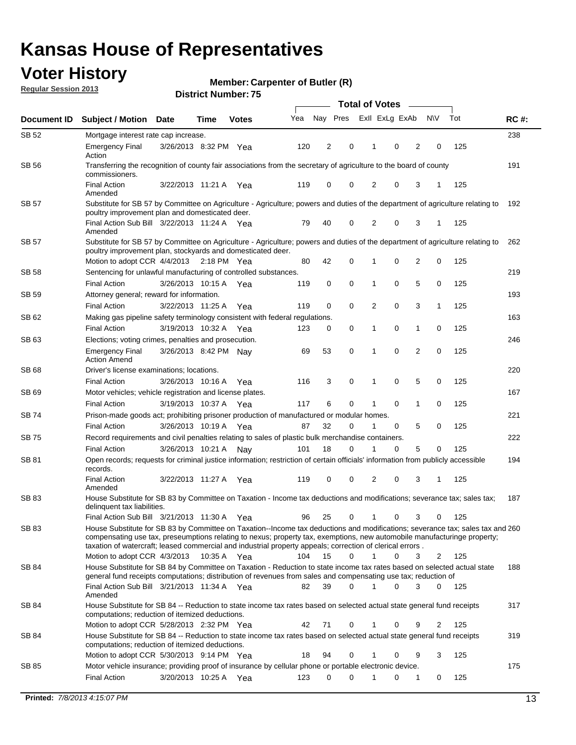## **Voter History**

**Member: Carpenter of Butler (R)** 

**Regular Session 2013**

|              |                                                                                                                                                                                                                                                                                                                                                                         |                       |             |              | <b>Total of Votes</b> |             |          |                |   |                |           |     |             |  |
|--------------|-------------------------------------------------------------------------------------------------------------------------------------------------------------------------------------------------------------------------------------------------------------------------------------------------------------------------------------------------------------------------|-----------------------|-------------|--------------|-----------------------|-------------|----------|----------------|---|----------------|-----------|-----|-------------|--|
| Document ID  | <b>Subject / Motion</b>                                                                                                                                                                                                                                                                                                                                                 | <b>Date</b>           | Time        | <b>Votes</b> | Yea                   | Nay Pres    |          | Exll ExLg ExAb |   |                | <b>NV</b> | Tot | <b>RC#:</b> |  |
| SB 52        | Mortgage interest rate cap increase.                                                                                                                                                                                                                                                                                                                                    |                       |             |              |                       |             |          |                |   |                |           |     | 238         |  |
|              | <b>Emergency Final</b><br>Action                                                                                                                                                                                                                                                                                                                                        | 3/26/2013 8:32 PM Yea |             |              | 120                   | 2           | 0        | 1              | 0 | 2              | 0         | 125 |             |  |
| SB 56        | Transferring the recognition of county fair associations from the secretary of agriculture to the board of county<br>commissioners.                                                                                                                                                                                                                                     |                       |             |              |                       |             |          |                |   |                |           |     | 191         |  |
|              | <b>Final Action</b><br>Amended                                                                                                                                                                                                                                                                                                                                          | 3/22/2013 11:21 A     |             | Yea          | 119                   | $\mathbf 0$ | 0        | $\overline{2}$ | 0 | 3              | 1         | 125 |             |  |
| <b>SB 57</b> | Substitute for SB 57 by Committee on Agriculture - Agriculture; powers and duties of the department of agriculture relating to<br>poultry improvement plan and domesticated deer.                                                                                                                                                                                       |                       |             |              |                       |             |          |                |   |                |           |     | 192         |  |
|              | Final Action Sub Bill 3/22/2013 11:24 A Yea<br>Amended                                                                                                                                                                                                                                                                                                                  |                       |             |              | 79                    | 40          | 0        | 2              | 0 | 3              | -1        | 125 |             |  |
| SB 57        | Substitute for SB 57 by Committee on Agriculture - Agriculture; powers and duties of the department of agriculture relating to<br>poultry improvement plan, stockyards and domesticated deer.                                                                                                                                                                           |                       |             |              |                       |             |          |                |   |                |           |     | 262         |  |
|              | Motion to adopt CCR 4/4/2013 2:18 PM Yea                                                                                                                                                                                                                                                                                                                                |                       |             |              | 80                    | 42          | 0        | 1              | 0 | 2              | 0         | 125 |             |  |
| SB 58        | Sentencing for unlawful manufacturing of controlled substances.                                                                                                                                                                                                                                                                                                         |                       |             |              |                       |             |          |                |   |                |           |     | 219         |  |
| SB 59        | <b>Final Action</b><br>Attorney general; reward for information.                                                                                                                                                                                                                                                                                                        | 3/26/2013 10:15 A     |             | Yea          | 119                   | 0           | 0        | 1              | 0 | 5              | 0         | 125 | 193         |  |
|              | <b>Final Action</b>                                                                                                                                                                                                                                                                                                                                                     | 3/22/2013 11:25 A     |             | Yea          | 119                   | $\mathbf 0$ | 0        | 2              | 0 | 3              | 1         | 125 |             |  |
| SB 62        | Making gas pipeline safety terminology consistent with federal regulations.                                                                                                                                                                                                                                                                                             |                       |             |              |                       |             |          |                |   |                |           |     | 163         |  |
|              | <b>Final Action</b>                                                                                                                                                                                                                                                                                                                                                     | 3/19/2013 10:32 A     |             | Yea          | 123                   | 0           | 0        | 1              | 0 | 1              | 0         | 125 |             |  |
| SB 63        | Elections; voting crimes, penalties and prosecution.                                                                                                                                                                                                                                                                                                                    |                       |             |              |                       |             |          |                |   |                |           |     | 246         |  |
|              | <b>Emergency Final</b><br><b>Action Amend</b>                                                                                                                                                                                                                                                                                                                           | 3/26/2013 8:42 PM Nav |             |              | 69                    | 53          | 0        | 1              | 0 | $\overline{2}$ | 0         | 125 |             |  |
| SB 68        | Driver's license examinations; locations.                                                                                                                                                                                                                                                                                                                               |                       |             |              |                       |             |          |                |   |                |           |     | 220         |  |
|              | <b>Final Action</b>                                                                                                                                                                                                                                                                                                                                                     | 3/26/2013 10:16 A     |             | Yea          | 116                   | 3           | 0        | 1              | 0 | 5              | 0         | 125 |             |  |
| SB 69        | Motor vehicles; vehicle registration and license plates.                                                                                                                                                                                                                                                                                                                |                       |             |              |                       |             |          |                |   |                |           |     | 167         |  |
|              | <b>Final Action</b>                                                                                                                                                                                                                                                                                                                                                     | 3/19/2013 10:37 A     |             | Yea          | 117                   | 6           | 0        | 1              | 0 | 1              | 0         | 125 |             |  |
| SB 74        | Prison-made goods act; prohibiting prisoner production of manufactured or modular homes.                                                                                                                                                                                                                                                                                |                       |             |              |                       |             |          |                |   |                |           |     | 221         |  |
|              | <b>Final Action</b>                                                                                                                                                                                                                                                                                                                                                     | 3/26/2013 10:19 A     |             | Yea          | 87                    | 32          | 0        | 1              | 0 | 5              | 0         | 125 |             |  |
| SB 75        | Record requirements and civil penalties relating to sales of plastic bulk merchandise containers.                                                                                                                                                                                                                                                                       |                       |             |              |                       |             |          |                |   |                |           |     | 222         |  |
|              | <b>Final Action</b>                                                                                                                                                                                                                                                                                                                                                     | 3/26/2013 10:21 A     |             | Nav          | 101                   | 18          | 0        | 1              | 0 | 5              | 0         | 125 |             |  |
| SB 81        | Open records; requests for criminal justice information; restriction of certain officials' information from publicly accessible<br>records.                                                                                                                                                                                                                             |                       |             |              |                       |             |          |                |   |                |           |     | 194         |  |
|              | <b>Final Action</b><br>Amended                                                                                                                                                                                                                                                                                                                                          | 3/22/2013 11:27 A     |             | Yea          | 119                   | 0           | 0        | 2              | 0 | 3              | 1         | 125 |             |  |
| SB 83        | House Substitute for SB 83 by Committee on Taxation - Income tax deductions and modifications; severance tax; sales tax;<br>delinquent tax liabilities.                                                                                                                                                                                                                 |                       |             |              |                       |             |          |                |   |                |           |     | 187         |  |
|              | Final Action Sub Bill 3/21/2013 11:30 A Yea                                                                                                                                                                                                                                                                                                                             |                       |             |              | 96                    | 25          | 0        | $\mathbf{1}$   | 0 | 3              | 0         | 125 |             |  |
| SB 83        | House Substitute for SB 83 by Committee on Taxation--Income tax deductions and modifications; severance tax; sales tax and 260<br>compensating use tax, preseumptions relating to nexus; property tax, exemptions, new automobile manufacturinge property;<br>taxation of watercraft; leased commercial and industrial property appeals; correction of clerical errors. |                       |             |              |                       |             |          |                |   |                |           |     |             |  |
|              | Motion to adopt CCR 4/3/2013                                                                                                                                                                                                                                                                                                                                            |                       | 10:35 A Yea |              | 104                   | 15          | $\Omega$ | $\mathbf{1}$   | 0 | 3              | 2         | 125 |             |  |
| SB 84        | House Substitute for SB 84 by Committee on Taxation - Reduction to state income tax rates based on selected actual state<br>general fund receipts computations; distribution of revenues from sales and compensating use tax; reduction of                                                                                                                              |                       |             |              |                       |             |          |                |   |                |           |     | 188         |  |
|              | Final Action Sub Bill 3/21/2013 11:34 A Yea<br>Amended                                                                                                                                                                                                                                                                                                                  |                       |             |              | 82                    | 39          | 0        |                | 0 | 3              | 0         | 125 |             |  |
| SB 84        | House Substitute for SB 84 -- Reduction to state income tax rates based on selected actual state general fund receipts<br>computations; reduction of itemized deductions.                                                                                                                                                                                               |                       |             |              |                       |             |          |                |   |                |           |     | 317         |  |
|              | Motion to adopt CCR 5/28/2013 2:32 PM Yea                                                                                                                                                                                                                                                                                                                               |                       |             |              | 42                    | 71          | 0        | 1              | 0 | 9              | 2         | 125 |             |  |
| SB 84        | House Substitute for SB 84 -- Reduction to state income tax rates based on selected actual state general fund receipts<br>computations; reduction of itemized deductions.                                                                                                                                                                                               |                       |             |              |                       |             |          |                |   |                |           |     | 319         |  |
|              | Motion to adopt CCR 5/30/2013 9:14 PM Yea                                                                                                                                                                                                                                                                                                                               |                       |             |              | 18                    | 94          | 0        | 1              | 0 | 9              | 3         | 125 |             |  |
| SB 85        | Motor vehicle insurance; providing proof of insurance by cellular phone or portable electronic device.<br><b>Final Action</b>                                                                                                                                                                                                                                           | 3/20/2013 10:25 A Yea |             |              | 123                   | $\Omega$    | 0        | 1              | 0 | 1              | 0         | 125 | 175         |  |
|              |                                                                                                                                                                                                                                                                                                                                                                         |                       |             |              |                       |             |          |                |   |                |           |     |             |  |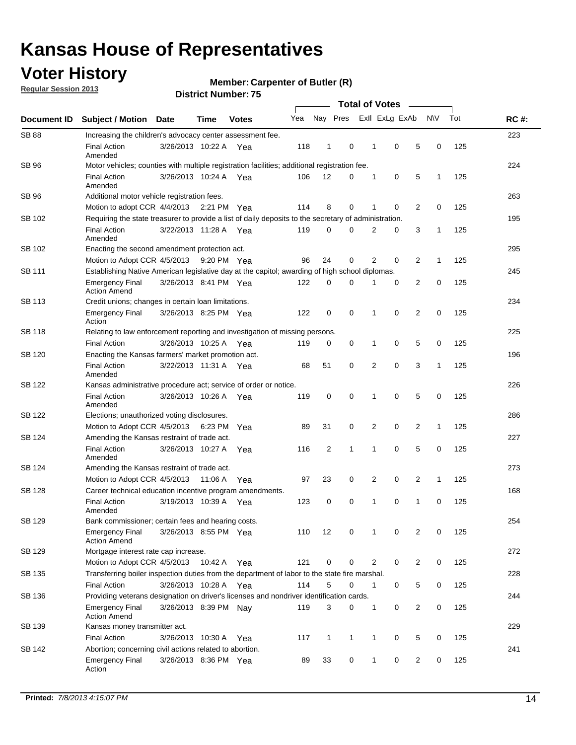## **Voter History**

**Regular Session 2013**

**Member: Carpenter of Butler (R)** 

|                    |                                                                                                       | <b>PISUIVLINUIIIDEL.</b> |             |              |     |              |              |                       |              |                |                |              |     |             |
|--------------------|-------------------------------------------------------------------------------------------------------|--------------------------|-------------|--------------|-----|--------------|--------------|-----------------------|--------------|----------------|----------------|--------------|-----|-------------|
| <b>Document ID</b> | <b>Subject / Motion</b>                                                                               | Date                     | Time        | <b>Votes</b> | Yea |              | Nay Pres     | <b>Total of Votes</b> |              | Exll ExLg ExAb |                | <b>NV</b>    | Tot | <b>RC#:</b> |
| <b>SB 88</b>       | Increasing the children's advocacy center assessment fee.                                             |                          |             |              |     |              |              |                       |              |                |                |              |     | 223         |
|                    | <b>Final Action</b><br>Amended                                                                        | 3/26/2013 10:22 A Yea    |             |              | 118 | 1            | 0            |                       | 1            | $\mathbf 0$    | 5              | 0            | 125 |             |
| SB 96              | Motor vehicles; counties with multiple registration facilities; additional registration fee.          |                          |             |              |     |              |              |                       |              |                |                |              |     | 224         |
|                    | <b>Final Action</b><br>Amended                                                                        | 3/26/2013 10:24 A        |             | Yea          | 106 | 12           | 0            |                       | 1            | 0              | 5              | $\mathbf{1}$ | 125 |             |
| SB 96              | Additional motor vehicle registration fees.                                                           |                          |             |              |     |              |              |                       |              |                |                |              |     | 263         |
|                    | Motion to adopt CCR 4/4/2013 2:21 PM Yea                                                              |                          |             |              | 114 | 8            | 0            |                       | 1            | 0              | $\overline{2}$ | 0            | 125 |             |
| SB 102             | Requiring the state treasurer to provide a list of daily deposits to the secretary of administration. |                          |             |              |     |              |              |                       |              |                |                |              |     | 195         |
|                    | <b>Final Action</b><br>Amended                                                                        | 3/22/2013 11:28 A Yea    |             |              | 119 | 0            | 0            |                       | 2            | 0              | 3              | 1            | 125 |             |
| SB 102             | Enacting the second amendment protection act.                                                         |                          |             |              |     |              |              |                       |              |                |                |              |     | 295         |
|                    | Motion to Adopt CCR 4/5/2013 9:20 PM Yea                                                              |                          |             |              | 96  | 24           | 0            |                       | 2            | 0              | 2              | $\mathbf{1}$ | 125 |             |
| SB 111             | Establishing Native American legislative day at the capitol; awarding of high school diplomas.        |                          |             |              |     |              |              |                       |              |                |                |              |     | 245         |
|                    | <b>Emergency Final</b><br><b>Action Amend</b>                                                         | 3/26/2013 8:41 PM Yea    |             |              | 122 | 0            | 0            |                       |              | 0              | 2              | 0            | 125 |             |
| SB 113             | Credit unions; changes in certain loan limitations.                                                   |                          |             |              |     |              |              |                       |              |                |                |              |     | 234         |
|                    | <b>Emergency Final</b><br>Action                                                                      | 3/26/2013 8:25 PM Yea    |             |              | 122 | 0            | 0            |                       | 1            | $\mathbf 0$    | $\overline{2}$ | $\mathbf 0$  | 125 |             |
| <b>SB 118</b>      | Relating to law enforcement reporting and investigation of missing persons.                           |                          |             |              |     |              |              |                       |              |                |                |              |     | 225         |
|                    | <b>Final Action</b>                                                                                   | 3/26/2013 10:25 A        |             | Yea          | 119 | 0            | 0            |                       | 1            | 0              | 5              | 0            | 125 |             |
| SB 120             | Enacting the Kansas farmers' market promotion act.                                                    |                          |             |              |     |              |              |                       |              |                |                |              |     | 196         |
|                    | <b>Final Action</b><br>Amended                                                                        | 3/22/2013 11:31 A Yea    |             |              | 68  | 51           | 0            |                       | 2            | $\mathbf 0$    | 3              | $\mathbf{1}$ | 125 |             |
| SB 122             | Kansas administrative procedure act; service of order or notice.                                      |                          |             |              |     |              |              |                       |              |                |                |              |     | 226         |
|                    | <b>Final Action</b><br>Amended                                                                        | 3/26/2013 10:26 A Yea    |             |              | 119 | $\mathbf 0$  | 0            |                       | 1            | 0              | 5              | 0            | 125 |             |
| SB 122             | Elections; unauthorized voting disclosures.                                                           |                          |             |              |     |              |              |                       |              |                |                |              |     | 286         |
|                    | Motion to Adopt CCR 4/5/2013                                                                          |                          | 6:23 PM     | Yea          | 89  | 31           | 0            |                       | 2            | 0              | 2              | 1            | 125 |             |
| SB 124             | Amending the Kansas restraint of trade act.                                                           |                          |             |              |     |              |              |                       |              |                |                |              |     | 227         |
|                    | <b>Final Action</b><br>Amended                                                                        | 3/26/2013 10:27 A        |             | Yea          | 116 | 2            | 1            |                       | 1            | $\mathbf 0$    | 5              | $\mathbf 0$  | 125 |             |
| SB 124             | Amending the Kansas restraint of trade act.                                                           |                          |             |              |     |              |              |                       |              |                |                |              |     | 273         |
|                    | Motion to Adopt CCR 4/5/2013                                                                          |                          | 11:06 A     | Yea          | 97  | 23           | 0            |                       | 2            | 0              | 2              | 1            | 125 |             |
| SB 128             | Career technical education incentive program amendments.                                              |                          |             |              |     |              |              |                       |              |                |                |              |     | 168         |
|                    | <b>Final Action</b><br>Amended                                                                        | 3/19/2013 10:39 A        |             | Yea          | 123 | 0            | 0            |                       | 1            | 0              | 1              | 0            | 125 |             |
| SB 129             | Bank commissioner; certain fees and hearing costs.                                                    |                          |             |              |     |              |              |                       |              |                |                |              |     | 254         |
|                    | <b>Emergency Final</b><br><b>Action Amend</b>                                                         | 3/26/2013 8:55 PM Yea    |             |              | 110 | 12           | 0            |                       | 1            | 0              | 2              | 0            | 125 |             |
| SB 129             | Mortgage interest rate cap increase.                                                                  |                          |             |              |     |              |              |                       |              |                |                |              |     | 272         |
|                    | Motion to Adopt CCR 4/5/2013                                                                          |                          | 10:42 A Yea |              | 121 | 0            | 0            |                       | 2            | 0              | $\overline{2}$ | 0            | 125 |             |
| SB 135             | Transferring boiler inspection duties from the department of labor to the state fire marshal.         |                          |             |              |     |              |              |                       |              |                |                |              |     | 228         |
|                    | Final Action                                                                                          | 3/26/2013 10:28 A Yea    |             |              | 114 | 5            | 0            |                       | 1            | 0              | 5              | 0            | 125 |             |
| SB 136             | Providing veterans designation on driver's licenses and nondriver identification cards.               |                          |             |              |     |              |              |                       |              |                |                |              |     | 244         |
|                    | <b>Emergency Final</b><br><b>Action Amend</b>                                                         | 3/26/2013 8:39 PM Nay    |             |              | 119 | 3            | 0            |                       | 1            | 0              | $\overline{2}$ | 0            | 125 |             |
| SB 139             | Kansas money transmitter act.                                                                         |                          |             |              |     |              |              |                       |              |                |                |              |     | 229         |
|                    | <b>Final Action</b>                                                                                   | 3/26/2013 10:30 A        |             | Yea          | 117 | $\mathbf{1}$ | $\mathbf{1}$ |                       | $\mathbf{1}$ | 0              | 5              | 0            | 125 |             |
| SB 142             | Abortion; concerning civil actions related to abortion.                                               |                          |             |              |     |              |              |                       |              |                |                |              |     | 241         |
|                    | <b>Emergency Final</b><br>Action                                                                      | 3/26/2013 8:36 PM Yea    |             |              | 89  | 33           | 0            |                       | $\mathbf{1}$ | 0              | 2              | 0            | 125 |             |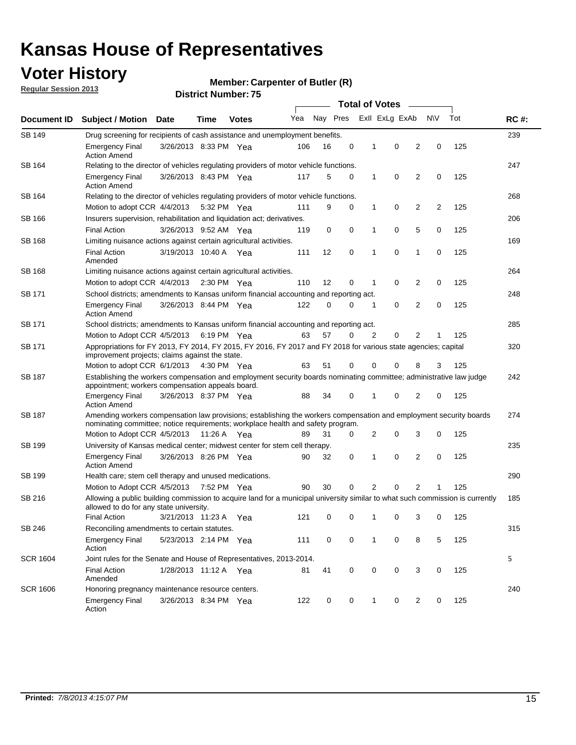## **Voter History**

**Member: Carpenter of Butler (R)** 

**Regular Session 2013**

| Document ID     |                                                                                                                                                                                                       |                                                                                                                                                                         |             |              |     |          | <b>Total of Votes</b> |              |                |                |                |     | <b>RC#:</b> |
|-----------------|-------------------------------------------------------------------------------------------------------------------------------------------------------------------------------------------------------|-------------------------------------------------------------------------------------------------------------------------------------------------------------------------|-------------|--------------|-----|----------|-----------------------|--------------|----------------|----------------|----------------|-----|-------------|
|                 | Subject / Motion Date                                                                                                                                                                                 |                                                                                                                                                                         | Time        | <b>Votes</b> | Yea | Nay Pres |                       |              | Exll ExLg ExAb |                | <b>NV</b>      | Tot |             |
| <b>SB 149</b>   | Drug screening for recipients of cash assistance and unemployment benefits.                                                                                                                           |                                                                                                                                                                         |             |              |     |          |                       |              |                |                |                |     | 239         |
|                 | <b>Emergency Final</b><br><b>Action Amend</b>                                                                                                                                                         | 3/26/2013 8:33 PM Yea                                                                                                                                                   |             |              | 106 | 16       | 0                     | 1            | 0              | 2              | 0              | 125 |             |
| SB 164          | Relating to the director of vehicles regulating providers of motor vehicle functions.                                                                                                                 |                                                                                                                                                                         |             |              |     |          |                       |              |                |                |                |     | 247         |
|                 | <b>Emergency Final</b><br><b>Action Amend</b>                                                                                                                                                         | 3/26/2013 8:43 PM Yea                                                                                                                                                   |             |              | 117 | 5        | 0                     | $\mathbf{1}$ | 0              | 2              | 0              | 125 |             |
| SB 164          | Relating to the director of vehicles regulating providers of motor vehicle functions.                                                                                                                 |                                                                                                                                                                         |             |              |     |          |                       |              |                |                |                |     | 268         |
|                 | Motion to adopt CCR 4/4/2013                                                                                                                                                                          |                                                                                                                                                                         |             | 5:32 PM Yea  | 111 | 9        | 0                     | $\mathbf{1}$ | 0              | 2              | $\overline{2}$ | 125 |             |
| SB 166          | Insurers supervision, rehabilitation and liquidation act; derivatives.                                                                                                                                |                                                                                                                                                                         |             |              |     |          |                       |              |                |                |                |     | 206         |
|                 | <b>Final Action</b>                                                                                                                                                                                   | 3/26/2013 9:52 AM Yea                                                                                                                                                   |             |              | 119 | 0        | 0                     | 1            | 0              | 5              | 0              | 125 |             |
| SB 168          | Limiting nuisance actions against certain agricultural activities.                                                                                                                                    |                                                                                                                                                                         |             |              |     |          |                       |              |                |                |                |     | 169         |
|                 | <b>Final Action</b><br>Amended                                                                                                                                                                        | 3/19/2013 10:40 A Yea                                                                                                                                                   |             |              | 111 | 12       | 0                     | 1            | 0              | 1              | 0              | 125 |             |
| <b>SB 168</b>   | Limiting nuisance actions against certain agricultural activities.                                                                                                                                    |                                                                                                                                                                         |             |              |     |          |                       |              |                |                |                |     | 264         |
|                 | Motion to adopt CCR 4/4/2013                                                                                                                                                                          |                                                                                                                                                                         |             | 2:30 PM Yea  | 110 | 12       | 0                     | 1            | 0              | 2              | 0              | 125 |             |
| SB 171          | School districts; amendments to Kansas uniform financial accounting and reporting act.                                                                                                                |                                                                                                                                                                         |             |              |     |          |                       |              |                |                |                |     | 248         |
|                 | <b>Emergency Final</b><br><b>Action Amend</b>                                                                                                                                                         | 3/26/2013 8:44 PM Yea                                                                                                                                                   |             |              | 122 | 0        | 0                     | 1            | 0              | 2              | 0              | 125 |             |
| SB 171          | School districts; amendments to Kansas uniform financial accounting and reporting act.                                                                                                                |                                                                                                                                                                         |             |              |     |          |                       |              |                |                |                |     | 285         |
|                 | Motion to Adopt CCR 4/5/2013 6:19 PM Yea                                                                                                                                                              |                                                                                                                                                                         |             |              | 63  | 57       | $\Omega$              | 2            | 0              | 2              |                | 125 |             |
| SB 171          | Appropriations for FY 2013, FY 2014, FY 2015, FY 2016, FY 2017 and FY 2018 for various state agencies; capital<br>improvement projects; claims against the state.                                     |                                                                                                                                                                         |             |              |     |          |                       |              |                |                |                | 320 |             |
|                 | Motion to adopt CCR 6/1/2013 4:30 PM Yea                                                                                                                                                              |                                                                                                                                                                         |             |              | 63  | 51       | 0                     | 0            | 0              | 8              | 3              | 125 |             |
| <b>SB 187</b>   |                                                                                                                                                                                                       | Establishing the workers compensation and employment security boards nominating committee; administrative law judge<br>appointment; workers compensation appeals board. |             |              |     |          |                       |              |                |                |                |     |             |
|                 | <b>Emergency Final</b><br><b>Action Amend</b>                                                                                                                                                         | 3/26/2013 8:37 PM Yea                                                                                                                                                   |             |              | 88  | 34       | 0                     |              | 0              | 2              | 0              | 125 |             |
| SB 187          | Amending workers compensation law provisions; establishing the workers compensation and employment security boards<br>nominating committee; notice requirements; workplace health and safety program. |                                                                                                                                                                         |             |              |     |          |                       |              |                |                |                |     | 274         |
|                 | Motion to Adopt CCR 4/5/2013 11:26 A Yea                                                                                                                                                              |                                                                                                                                                                         |             |              | 89  | 31       | 0                     | 2            | 0              | 3              | 0              | 125 |             |
| SB 199          | University of Kansas medical center; midwest center for stem cell therapy.                                                                                                                            |                                                                                                                                                                         |             |              |     |          |                       |              |                |                |                |     | 235         |
|                 | Emergency Final<br><b>Action Amend</b>                                                                                                                                                                | 3/26/2013 8:26 PM Yea                                                                                                                                                   |             |              | 90  | 32       | 0                     | 1            | 0              | 2              | 0              | 125 |             |
| SB 199          | Health care; stem cell therapy and unused medications.                                                                                                                                                |                                                                                                                                                                         |             |              |     |          |                       |              |                |                |                |     | 290         |
|                 | Motion to Adopt CCR 4/5/2013                                                                                                                                                                          |                                                                                                                                                                         | 7:52 PM Yea |              | 90  | 30       | 0                     | 2            | 0              | $\overline{2}$ |                | 125 |             |
| SB 216          | Allowing a public building commission to acquire land for a municipal university similar to what such commission is currently<br>allowed to do for any state university.                              |                                                                                                                                                                         |             |              |     |          |                       |              |                |                |                |     | 185         |
|                 | <b>Final Action</b>                                                                                                                                                                                   | 3/21/2013 11:23 A Yea                                                                                                                                                   |             |              | 121 | 0        | 0                     | 1            | 0              | 3              | 0              | 125 |             |
| <b>SB 246</b>   | Reconciling amendments to certain statutes.                                                                                                                                                           |                                                                                                                                                                         |             |              |     |          |                       |              |                |                |                |     | 315         |
|                 | <b>Emergency Final</b><br>Action                                                                                                                                                                      | 5/23/2013 2:14 PM Yea                                                                                                                                                   |             |              | 111 | 0        | 0                     | 1            | 0              | 8              | 5              | 125 |             |
| <b>SCR 1604</b> | Joint rules for the Senate and House of Representatives, 2013-2014.                                                                                                                                   |                                                                                                                                                                         |             |              |     |          |                       |              |                |                |                |     | 5           |
|                 | <b>Final Action</b><br>Amended                                                                                                                                                                        | 1/28/2013 11:12 A Yea                                                                                                                                                   |             |              | 81  | 41       | 0                     | 0            | 0              | 3              | 0              | 125 |             |
| <b>SCR 1606</b> | Honoring pregnancy maintenance resource centers.                                                                                                                                                      |                                                                                                                                                                         |             |              |     |          |                       |              |                |                |                |     | 240         |
|                 | <b>Emergency Final</b><br>Action                                                                                                                                                                      | 3/26/2013 8:34 PM Yea                                                                                                                                                   |             |              | 122 | 0        | 0                     |              | 0              | 2              | 0              | 125 |             |